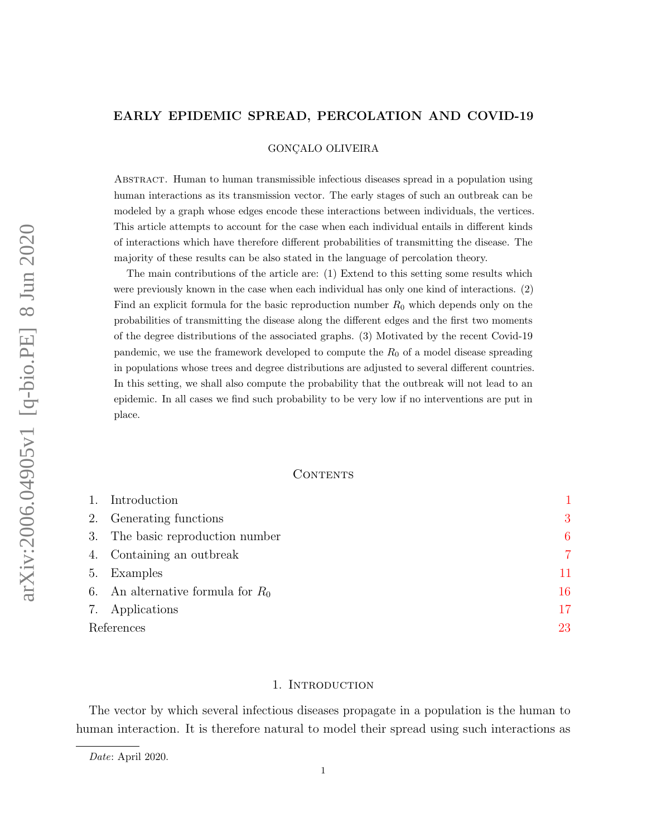# <span id="page-0-1"></span>EARLY EPIDEMIC SPREAD, PERCOLATION AND COVID-19

GONÇALO OLIVEIRA

Abstract. Human to human transmissible infectious diseases spread in a population using human interactions as its transmission vector. The early stages of such an outbreak can be modeled by a graph whose edges encode these interactions between individuals, the vertices. This article attempts to account for the case when each individual entails in different kinds of interactions which have therefore different probabilities of transmitting the disease. The majority of these results can be also stated in the language of percolation theory.

The main contributions of the article are: (1) Extend to this setting some results which were previously known in the case when each individual has only one kind of interactions. (2) Find an explicit formula for the basic reproduction number  $R_0$  which depends only on the probabilities of transmitting the disease along the different edges and the first two moments of the degree distributions of the associated graphs. (3) Motivated by the recent Covid-19 pandemic, we use the framework developed to compute the  $R_0$  of a model disease spreading in populations whose trees and degree distributions are adjusted to several different countries. In this setting, we shall also compute the probability that the outbreak will not lead to an epidemic. In all cases we find such probability to be very low if no interventions are put in place.

## CONTENTS

| 1.         | Introduction                        |    |
|------------|-------------------------------------|----|
|            | 2. Generating functions             | 3  |
|            | 3. The basic reproduction number    | 6  |
|            | 4. Containing an outbreak           | 7  |
| 5.         | Examples                            | 11 |
|            | 6. An alternative formula for $R_0$ | 16 |
|            | 7. Applications                     | 17 |
| References |                                     | 23 |

## 1. INTRODUCTION

<span id="page-0-0"></span>The vector by which several infectious diseases propagate in a population is the human to human interaction. It is therefore natural to model their spread using such interactions as

Date: April 2020.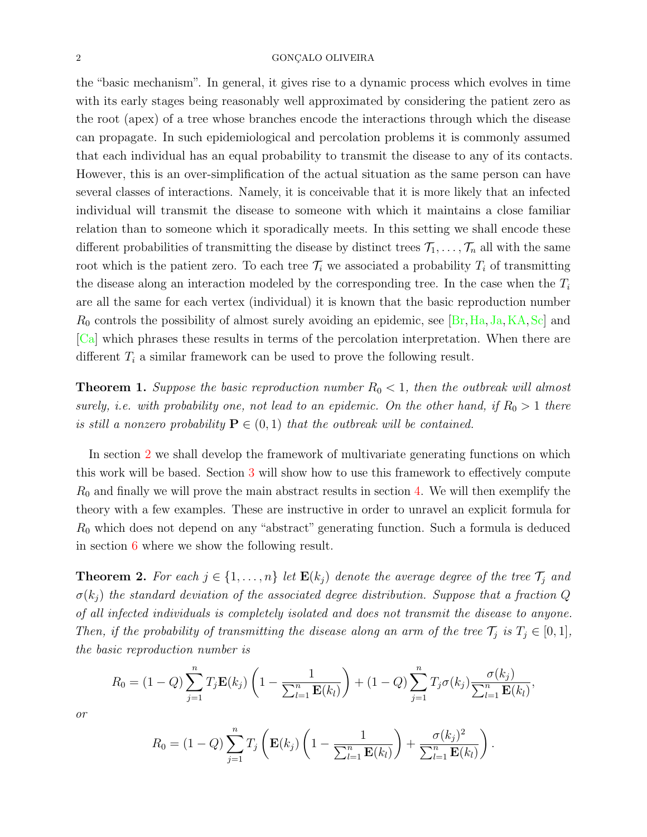#### <span id="page-1-1"></span> $\begin{array}{lllllllll} 2 & \hspace{1.5cm} \text{GONCALO OLIVEIRA} \end{array}$

the "basic mechanism". In general, it gives rise to a dynamic process which evolves in time with its early stages being reasonably well approximated by considering the patient zero as the root (apex) of a tree whose branches encode the interactions through which the disease can propagate. In such epidemiological and percolation problems it is commonly assumed that each individual has an equal probability to transmit the disease to any of its contacts. However, this is an over-simplification of the actual situation as the same person can have several classes of interactions. Namely, it is conceivable that it is more likely that an infected individual will transmit the disease to someone with which it maintains a close familiar relation than to someone which it sporadically meets. In this setting we shall encode these different probabilities of transmitting the disease by distinct trees  $\mathcal{T}_1, \ldots, \mathcal{T}_n$  all with the same root which is the patient zero. To each tree  $\mathcal{T}_i$  we associated a probability  $T_i$  of transmitting the disease along an interaction modeled by the corresponding tree. In the case when the  $T_i$ are all the same for each vertex (individual) it is known that the basic reproduction number  $R_0$  controls the possibility of almost surely avoiding an epidemic, see [\[Br,](#page-22-1) [Ha,](#page-22-2) [Ja,](#page-22-3) [KA,](#page-22-4) [Sc\]](#page-22-5) and [\[Ca\]](#page-22-6) which phrases these results in terms of the percolation interpretation. When there are different  $T_i$  a similar framework can be used to prove the following result.

**Theorem 1.** Suppose the basic reproduction number  $R_0 < 1$ , then the outbreak will almost surely, i.e. with probability one, not lead to an epidemic. On the other hand, if  $R_0 > 1$  there is still a nonzero probability  $\mathbf{P} \in (0,1)$  that the outbreak will be contained.

In section [2](#page-2-0) we shall develop the framework of multivariate generating functions on which this work will be based. Section [3](#page-5-0) will show how to use this framework to effectively compute  $R_0$  and finally we will prove the main abstract results in section [4.](#page-6-0) We will then exemplify the theory with a few examples. These are instructive in order to unravel an explicit formula for  $R_0$  which does not depend on any "abstract" generating function. Such a formula is deduced in section [6](#page-15-0) where we show the following result.

<span id="page-1-0"></span>**Theorem 2.** For each  $j \in \{1, ..., n\}$  let  $\mathbf{E}(k_j)$  denote the average degree of the tree  $\mathcal{T}_j$  and  $\sigma(k_i)$  the standard deviation of the associated degree distribution. Suppose that a fraction Q of all infected individuals is completely isolated and does not transmit the disease to anyone. Then, if the probability of transmitting the disease along an arm of the tree  $\mathcal{T}_j$  is  $T_j \in [0,1]$ , the basic reproduction number is

$$
R_0 = (1 - Q) \sum_{j=1}^n T_j \mathbf{E}(k_j) \left(1 - \frac{1}{\sum_{l=1}^n \mathbf{E}(k_l)}\right) + (1 - Q) \sum_{j=1}^n T_j \sigma(k_j) \frac{\sigma(k_j)}{\sum_{l=1}^n \mathbf{E}(k_l)},
$$

or

$$
R_0 = (1 - Q) \sum_{j=1}^n T_j \left( \mathbf{E}(k_j) \left( 1 - \frac{1}{\sum_{l=1}^n \mathbf{E}(k_l)} \right) + \frac{\sigma(k_j)^2}{\sum_{l=1}^n \mathbf{E}(k_l)} \right).
$$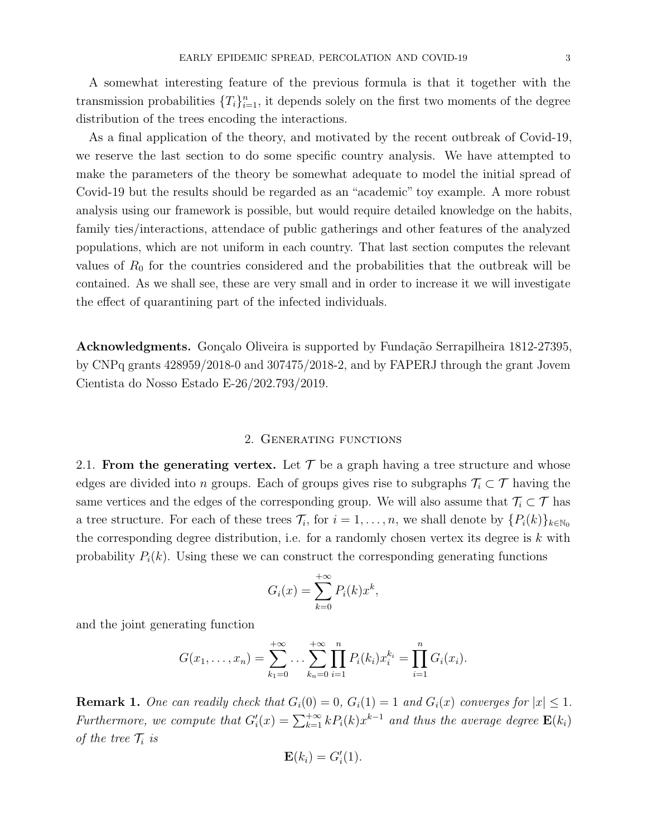A somewhat interesting feature of the previous formula is that it together with the transmission probabilities  $\{T_i\}_{i=1}^n$ , it depends solely on the first two moments of the degree distribution of the trees encoding the interactions.

As a final application of the theory, and motivated by the recent outbreak of Covid-19, we reserve the last section to do some specific country analysis. We have attempted to make the parameters of the theory be somewhat adequate to model the initial spread of Covid-19 but the results should be regarded as an "academic" toy example. A more robust analysis using our framework is possible, but would require detailed knowledge on the habits, family ties/interactions, attendace of public gatherings and other features of the analyzed populations, which are not uniform in each country. That last section computes the relevant values of  $R_0$  for the countries considered and the probabilities that the outbreak will be contained. As we shall see, these are very small and in order to increase it we will investigate the effect of quarantining part of the infected individuals.

Acknowledgments. Gonçalo Oliveira is supported by Fundação Serrapilheira 1812-27395, by CNPq grants 428959/2018-0 and 307475/2018-2, and by FAPERJ through the grant Jovem Cientista do Nosso Estado E-26/202.793/2019.

## 2. Generating functions

<span id="page-2-0"></span>2.1. From the generating vertex. Let  $\mathcal T$  be a graph having a tree structure and whose edges are divided into n groups. Each of groups gives rise to subgraphs  $\mathcal{T}_i \subset \mathcal{T}$  having the same vertices and the edges of the corresponding group. We will also assume that  $\mathcal{T}_i \subset \mathcal{T}$  has a tree structure. For each of these trees  $\mathcal{T}_i$ , for  $i = 1, \ldots, n$ , we shall denote by  $\{P_i(k)\}_{k \in \mathbb{N}_0}$ the corresponding degree distribution, i.e. for a randomly chosen vertex its degree is  $k$  with probability  $P_i(k)$ . Using these we can construct the corresponding generating functions

$$
G_i(x) = \sum_{k=0}^{+\infty} P_i(k)x^k,
$$

and the joint generating function

$$
G(x_1,\ldots,x_n)=\sum_{k_1=0}^{+\infty}\ldots\sum_{k_n=0}^{+\infty}\prod_{i=1}^nP_i(k_i)x_i^{k_i}=\prod_{i=1}^nG_i(x_i).
$$

**Remark 1.** One can readily check that  $G_i(0) = 0$ ,  $G_i(1) = 1$  and  $G_i(x)$  converges for  $|x| \leq 1$ . Furthermore, we compute that  $G_i'(x) = \sum_{k=1}^{+\infty} k P_i(k) x^{k-1}$  and thus the average degree  $\mathbf{E}(k_i)$ of the tree  $\mathcal{T}_i$  is

$$
\mathbf{E}(k_i) = G_i'(1).
$$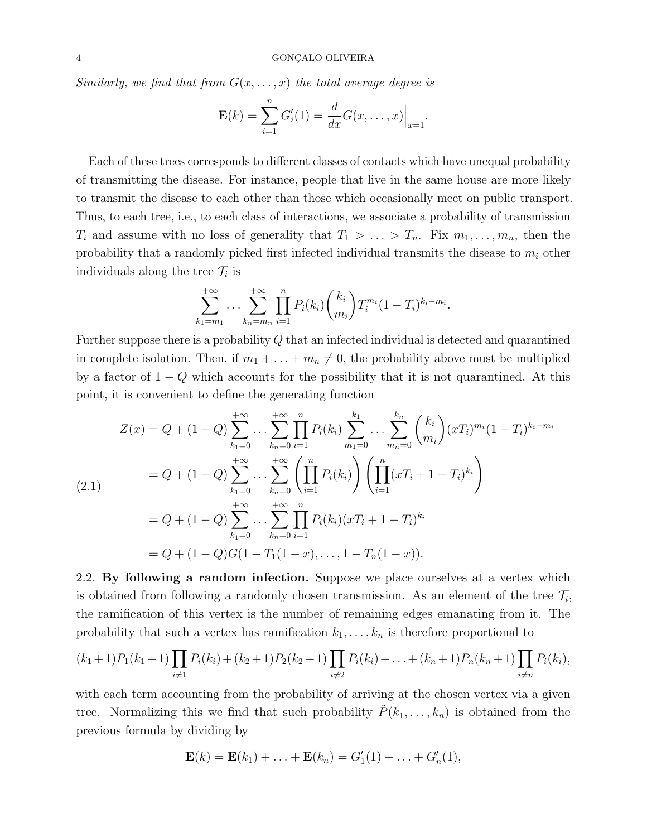Similarly, we find that from  $G(x, \ldots, x)$  the total average degree is

$$
\mathbf{E}(k) = \sum_{i=1}^{n} G'_{i}(1) = \frac{d}{dx} G(x, \dots, x)\Big|_{x=1}.
$$

Each of these trees corresponds to different classes of contacts which have unequal probability of transmitting the disease. For instance, people that live in the same house are more likely to transmit the disease to each other than those which occasionally meet on public transport. Thus, to each tree, i.e., to each class of interactions, we associate a probability of transmission  $T_i$  and assume with no loss of generality that  $T_1 > \ldots > T_n$ . Fix  $m_1, \ldots, m_n$ , then the probability that a randomly picked first infected individual transmits the disease to  $m_i$  other individuals along the tree  $\mathcal{T}_i$  is

$$
\sum_{k_1=m_1}^{+\infty} \dots \sum_{k_n=m_n}^{+\infty} \prod_{i=1}^n P_i(k_i) {k_i \choose m_i} T_i^{m_i} (1-T_i)^{k_i-m_i}.
$$

Further suppose there is a probability Q that an infected individual is detected and quarantined in complete isolation. Then, if  $m_1 + \ldots + m_n \neq 0$ , the probability above must be multiplied by a factor of  $1 - Q$  which accounts for the possibility that it is not quarantined. At this point, it is convenient to define the generating function

<span id="page-3-0"></span>
$$
Z(x) = Q + (1 - Q) \sum_{k_1=0}^{+\infty} \dots \sum_{k_n=0}^{+\infty} \prod_{i=1}^{n} P_i(k_i) \sum_{m_1=0}^{k_1} \dots \sum_{m_n=0}^{k_n} {k_i \choose m_i} (xT_i)^{m_i} (1 - T_i)^{k_i - m_i}
$$
  
=  $Q + (1 - Q) \sum_{k_1=0}^{+\infty} \dots \sum_{k_n=0}^{+\infty} \left( \prod_{i=1}^{n} P_i(k_i) \right) \left( \prod_{i=1}^{n} (xT_i + 1 - T_i)^{k_i} \right)$   
=  $Q + (1 - Q) \sum_{k_1=0}^{+\infty} \dots \sum_{k_n=0}^{+\infty} \prod_{i=1}^{n} P_i(k_i) (xT_i + 1 - T_i)^{k_i}$   
=  $Q + (1 - Q)G(1 - T_1(1 - x), \dots, 1 - T_n(1 - x)).$ 

2.2. By following a random infection. Suppose we place ourselves at a vertex which is obtained from following a randomly chosen transmission. As an element of the tree  $\mathcal{T}_i$ , the ramification of this vertex is the number of remaining edges emanating from it. The probability that such a vertex has ramification  $k_1, \ldots, k_n$  is therefore proportional to

$$
(k_1+1)P_1(k_1+1)\prod_{i\neq 1}P_i(k_i)+(k_2+1)P_2(k_2+1)\prod_{i\neq 2}P_i(k_i)+\ldots+(k_n+1)P_n(k_n+1)\prod_{i\neq n}P_i(k_i),
$$

with each term accounting from the probability of arriving at the chosen vertex via a given tree. Normalizing this we find that such probability  $\tilde{P}(k_1, \ldots, k_n)$  is obtained from the previous formula by dividing by

$$
\mathbf{E}(k) = \mathbf{E}(k_1) + \ldots + \mathbf{E}(k_n) = G'_1(1) + \ldots + G'_n(1),
$$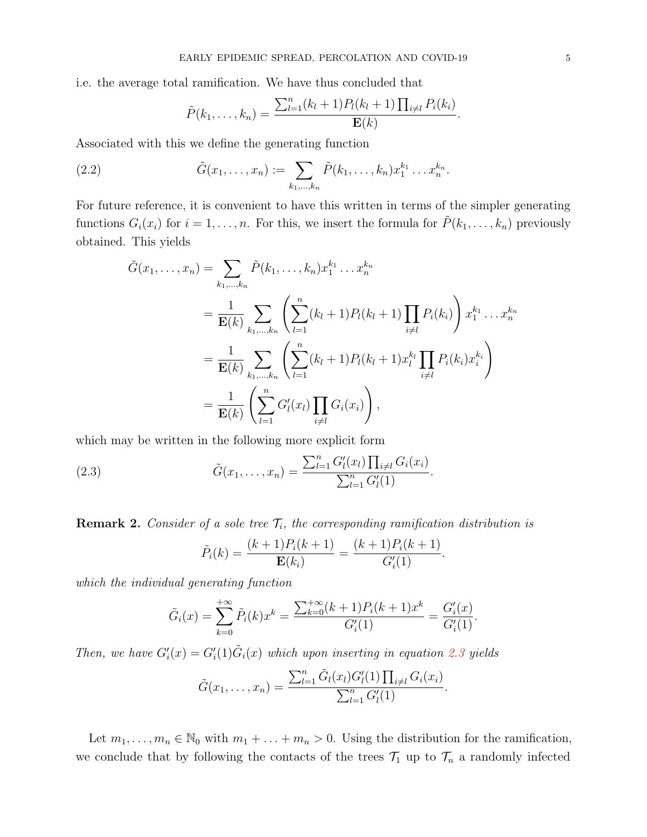i.e. the average total ramification. We have thus concluded that

$$
\tilde{P}(k_1,\ldots,k_n) = \frac{\sum_{l=1}^n (k_l+1) P_l(k_l+1) \prod_{i \neq l} P_i(k_i)}{\mathbf{E}(k)}.
$$

Associated with this we define the generating function

(2.2) 
$$
\tilde{G}(x_1,\ldots,x_n) := \sum_{k_1,\ldots,k_n} \tilde{P}(k_1,\ldots,k_n) x_1^{k_1} \ldots x_n^{k_n}.
$$

For future reference, it is convenient to have this written in terms of the simpler generating functions  $G_i(x_i)$  for  $i = 1, \ldots, n$ . For this, we insert the formula for  $\tilde{P}(k_1, \ldots, k_n)$  previously obtained. This yields

$$
\tilde{G}(x_1, \ldots, x_n) = \sum_{k_1, \ldots, k_n} \tilde{P}(k_1, \ldots, k_n) x_1^{k_1} \ldots x_n^{k_n}
$$
\n
$$
= \frac{1}{\mathbf{E}(k)} \sum_{k_1, \ldots, k_n} \left( \sum_{l=1}^n (k_l + 1) P_l(k_l + 1) \prod_{i \neq l} P_i(k_i) \right) x_1^{k_1} \ldots x_n^{k_n}
$$
\n
$$
= \frac{1}{\mathbf{E}(k)} \sum_{k_1, \ldots, k_n} \left( \sum_{l=1}^n (k_l + 1) P_l(k_l + 1) x_l^{k_l} \prod_{i \neq l} P_i(k_i) x_i^{k_i} \right)
$$
\n
$$
= \frac{1}{\mathbf{E}(k)} \left( \sum_{l=1}^n G'_l(x_l) \prod_{i \neq l} G_i(x_i) \right),
$$

which may be written in the following more explicit form

(2.3) 
$$
\tilde{G}(x_1,\ldots,x_n) = \frac{\sum_{l=1}^n G'_l(x_l) \prod_{i \neq l} G_i(x_i)}{\sum_{l=1}^n G'_l(1)}.
$$

**Remark 2.** Consider of a sole tree  $\mathcal{T}_i$ , the corresponding ramification distribution is

<span id="page-4-0"></span>
$$
\tilde{P}_i(k) = \frac{(k+1)P_i(k+1)}{\mathbf{E}(k_i)} = \frac{(k+1)P_i(k+1)}{G'_i(1)}.
$$

which the individual generating function

$$
\tilde{G}_i(x) = \sum_{k=0}^{+\infty} \tilde{P}_i(k)x^k = \frac{\sum_{k=0}^{+\infty} (k+1)P_i(k+1)x^k}{G'_i(1)} = \frac{G'_i(x)}{G'_i(1)}.
$$

Then, we have  $G_i'(x) = G_i'(1) \tilde{G}_i(x)$  which upon inserting in equation [2.3](#page-4-0) yields

$$
\tilde{G}(x_1,\ldots,x_n) = \frac{\sum_{l=1}^n \tilde{G}_l(x_l)G'_l(1) \prod_{i \neq l} G_i(x_i)}{\sum_{l=1}^n G'_l(1)}.
$$

Let  $m_1, \ldots, m_n \in \mathbb{N}_0$  with  $m_1 + \ldots + m_n > 0$ . Using the distribution for the ramification, we conclude that by following the contacts of the trees  $\mathcal{T}_1$  up to  $\mathcal{T}_n$  a randomly infected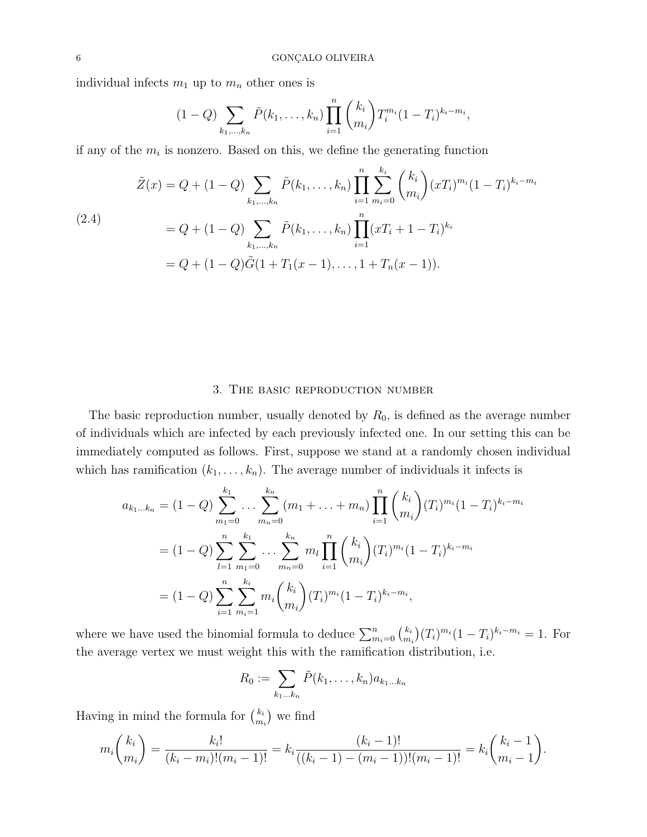individual infects  $m_1$  up to  $m_n$  other ones is

$$
(1 - Q) \sum_{k_1, \dots, k_n} \tilde{P}(k_1, \dots, k_n) \prod_{i=1}^n {k_i \choose m_i} T_i^{m_i} (1 - T_i)^{k_i - m_i},
$$

if any of the  $m_i$  is nonzero. Based on this, we define the generating function

<span id="page-5-1"></span>
$$
\tilde{Z}(x) = Q + (1 - Q) \sum_{k_1, \dots, k_n} \tilde{P}(k_1, \dots, k_n) \prod_{i=1}^n \sum_{m_i=0}^{k_i} {k_i \choose m_i} (xT_i)^{m_i} (1 - T_i)^{k_i - m_i}
$$
\n
$$
= Q + (1 - Q) \sum_{k_1, \dots, k_n} \tilde{P}(k_1, \dots, k_n) \prod_{i=1}^n (xT_i + 1 - T_i)^{k_i}
$$
\n
$$
= Q + (1 - Q) \tilde{G} (1 + T_1(x - 1), \dots, 1 + T_n(x - 1)).
$$

## 3. The basic reproduction number

<span id="page-5-0"></span>The basic reproduction number, usually denoted by  $R_0$ , is defined as the average number of individuals which are infected by each previously infected one. In our setting this can be immediately computed as follows. First, suppose we stand at a randomly chosen individual which has ramification  $(k_1, \ldots, k_n)$ . The average number of individuals it infects is

$$
a_{k_1...k_n} = (1 - Q) \sum_{m_1=0}^{k_1} \dots \sum_{m_n=0}^{k_n} (m_1 + \dots + m_n) \prod_{i=1}^n {k_i \choose m_i} (T_i)^{m_i} (1 - T_i)^{k_i - m_i}
$$
  

$$
= (1 - Q) \sum_{l=1}^n \sum_{m_1=0}^{k_1} \dots \sum_{m_n=0}^{k_n} m_l \prod_{i=1}^n {k_i \choose m_i} (T_i)^{m_i} (1 - T_i)^{k_i - m_i}
$$
  

$$
= (1 - Q) \sum_{i=1}^n \sum_{m_i=1}^{k_i} m_i {k_i \choose m_i} (T_i)^{m_i} (1 - T_i)^{k_i - m_i},
$$

where we have used the binomial formula to deduce  $\sum_{m_i=0}^{n} {k_i \choose m_i}$  $\binom{k_i}{m_i}(T_i)^{m_i}(1-T_i)^{k_i-m_i}=1.$  For the average vertex we must weight this with the ramification distribution, i.e.

$$
R_0 := \sum_{k_1 \dots k_n} \tilde{P}(k_1, \dots, k_n) a_{k_1 \dots k_n}
$$

Having in mind the formula for  $\binom{k_i}{m}$  $\binom{k_i}{m_i}$  we find

$$
m_i\binom{k_i}{m_i} = \frac{k_i!}{(k_i - m_i)!(m_i - 1)!} = k_i \frac{(k_i - 1)!}{((k_i - 1) - (m_i - 1))!(m_i - 1)!} = k_i\binom{k_i - 1}{m_i - 1}.
$$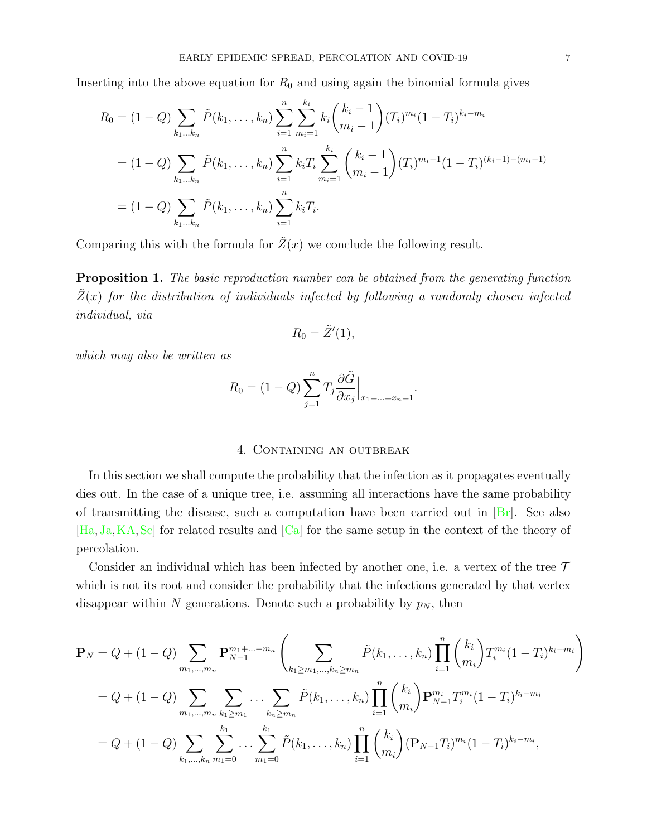<span id="page-6-2"></span>Inserting into the above equation for  $R_0$  and using again the binomial formula gives

$$
R_0 = (1 - Q) \sum_{k_1...k_n} \tilde{P}(k_1,...,k_n) \sum_{i=1}^n \sum_{m_i=1}^{k_i} k_i {k_i - 1 \choose m_i - 1} (T_i)^{m_i} (1 - T_i)^{k_i - m_i}
$$
  
=  $(1 - Q) \sum_{k_1...k_n} \tilde{P}(k_1,...,k_n) \sum_{i=1}^n k_i T_i \sum_{m_i=1}^{k_i} {k_i - 1 \choose m_i - 1} (T_i)^{m_i - 1} (1 - T_i)^{(k_i - 1) - (m_i - 1)}$   
=  $(1 - Q) \sum_{k_1...k_n} \tilde{P}(k_1,...,k_n) \sum_{i=1}^n k_i T_i.$ 

Comparing this with the formula for  $\tilde{Z}(x)$  we conclude the following result.

<span id="page-6-1"></span>**Proposition 1.** The basic reproduction number can be obtained from the generating function  $\tilde{Z}(x)$  for the distribution of individuals infected by following a randomly chosen infected individual, via

$$
R_0 = \tilde{Z}'(1),
$$

which may also be written as

$$
R_0 = (1 - Q) \sum_{j=1}^n T_j \frac{\partial \tilde{G}}{\partial x_j} \Big|_{x_1 = \ldots = x_n = 1}.
$$

# 4. Containing an outbreak

<span id="page-6-0"></span>In this section we shall compute the probability that the infection as it propagates eventually dies out. In the case of a unique tree, i.e. assuming all interactions have the same probability of transmitting the disease, such a computation have been carried out in [\[Br\]](#page-22-1). See also [\[Ha,](#page-22-2) [Ja,](#page-22-3)[KA,](#page-22-4)[Sc\]](#page-22-5) for related results and [\[Ca\]](#page-22-6) for the same setup in the context of the theory of percolation.

Consider an individual which has been infected by another one, i.e. a vertex of the tree  $\mathcal T$ which is not its root and consider the probability that the infections generated by that vertex disappear within N generations. Denote such a probability by  $p<sub>N</sub>$ , then

$$
\mathbf{P}_{N} = Q + (1 - Q) \sum_{m_{1}, \dots, m_{n}} \mathbf{P}_{N-1}^{m_{1} + \dots + m_{n}} \left( \sum_{k_{1} \ge m_{1}, \dots, k_{n} \ge m_{n}} \tilde{P}(k_{1}, \dots, k_{n}) \prod_{i=1}^{n} {k_{i} \choose m_{i}} T_{i}^{m_{i}} (1 - T_{i})^{k_{i} - m_{i}} \right)
$$
  
\n
$$
= Q + (1 - Q) \sum_{m_{1}, \dots, m_{n}} \sum_{k_{1} \ge m_{1}} \dots \sum_{k_{n} \ge m_{n}} \tilde{P}(k_{1}, \dots, k_{n}) \prod_{i=1}^{n} {k_{i} \choose m_{i}} \mathbf{P}_{N-1}^{m_{i}} T_{i}^{m_{i}} (1 - T_{i})^{k_{i} - m_{i}}
$$
  
\n
$$
= Q + (1 - Q) \sum_{k_{1}, \dots, k_{n}} \sum_{m_{1}=0}^{k_{1}} \dots \sum_{m_{1}=0}^{k_{1}} \tilde{P}(k_{1}, \dots, k_{n}) \prod_{i=1}^{n} {k_{i} \choose m_{i}} (\mathbf{P}_{N-1} T_{i})^{m_{i}} (1 - T_{i})^{k_{i} - m_{i}},
$$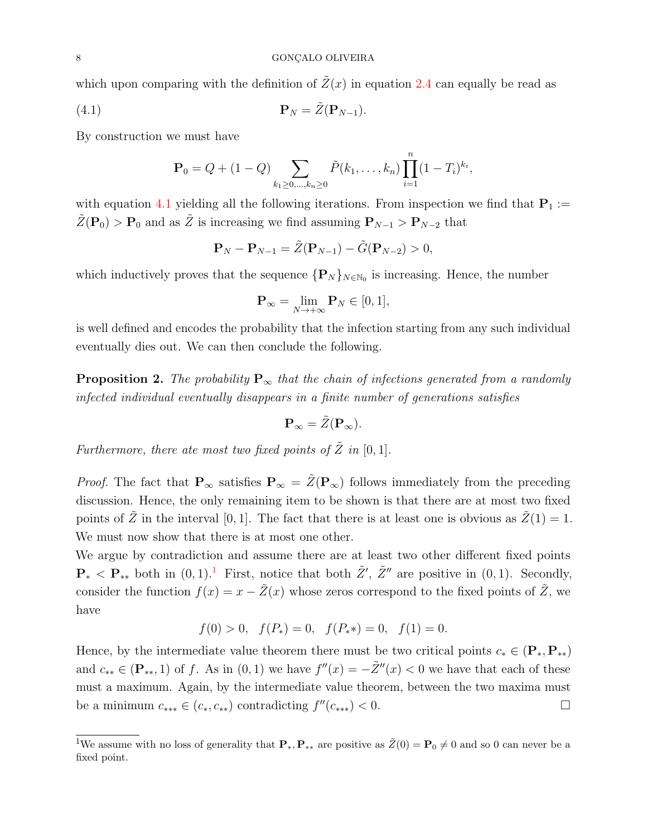which upon comparing with the definition of  $\tilde{Z}(x)$  in equation [2.4](#page-5-1) can equally be read as

$$
\mathbf{P}_N = \tilde{Z}(\mathbf{P}_{N-1}).
$$

By construction we must have

<span id="page-7-0"></span>
$$
\mathbf{P}_0 = Q + (1 - Q) \sum_{k_1 \ge 0, ..., k_n \ge 0} \tilde{P}(k_1, ..., k_n) \prod_{i=1}^n (1 - T_i)^{k_i},
$$

with equation [4.1](#page-7-0) yielding all the following iterations. From inspection we find that  $P_1 :=$  $\tilde{Z}(\mathbf{P}_0) > \mathbf{P}_0$  and as  $\tilde{Z}$  is increasing we find assuming  $\mathbf{P}_{N-1} > \mathbf{P}_{N-2}$  that

$$
\mathbf{P}_N - \mathbf{P}_{N-1} = \tilde{Z}(\mathbf{P}_{N-1}) - \tilde{G}(\mathbf{P}_{N-2}) > 0,
$$

which inductively proves that the sequence  ${P_N}_{N \in \mathbb{N}_0}$  is increasing. Hence, the number

$$
\mathbf{P}_{\infty} = \lim_{N \to +\infty} \mathbf{P}_N \in [0, 1],
$$

is well defined and encodes the probability that the infection starting from any such individual eventually dies out. We can then conclude the following.

<span id="page-7-1"></span>**Proposition 2.** The probability  $P_{\infty}$  that the chain of infections generated from a randomly infected individual eventually disappears in a finite number of generations satisfies

$$
\mathbf{P}_{\infty} = \tilde{Z}(\mathbf{P}_{\infty}).
$$

Furthermore, there ate most two fixed points of  $\tilde{Z}$  in [0, 1].

*Proof.* The fact that  $P_{\infty}$  satisfies  $P_{\infty} = \tilde{Z}(P_{\infty})$  follows immediately from the preceding discussion. Hence, the only remaining item to be shown is that there are at most two fixed points of  $\tilde{Z}$  in the interval [0, 1]. The fact that there is at least one is obvious as  $\tilde{Z}(1) = 1$ . We must now show that there is at most one other.

We argue by contradiction and assume there are at least two other different fixed points  $\mathbf{P}_{*} < \mathbf{P}_{**}$  both in  $(0, 1)$  $(0, 1)$  $(0, 1)$ . First, notice that both  $\tilde{Z}'$ ,  $\tilde{Z}''$  are positive in  $(0, 1)$ . Secondly, consider the function  $f(x) = x - \tilde{Z}(x)$  whose zeros correspond to the fixed points of  $\tilde{Z}$ , we have

$$
f(0) > 0
$$
,  $f(P_*) = 0$ ,  $f(P_**) = 0$ ,  $f(1) = 0$ .

Hence, by the intermediate value theorem there must be two critical points  $c_* \in (\mathbf{P}_*, \mathbf{P}_{**})$ and  $c_{**} \in (\mathbf{P}_{**}, 1)$  of f. As in  $(0, 1)$  we have  $f''(x) = -\tilde{Z}''(x) < 0$  we have that each of these must a maximum. Again, by the intermediate value theorem, between the two maxima must be a minimum  $c_{***} \in (c_*, c_{**})$  contradicting  $f''(c_{***}) < 0$ .

<sup>&</sup>lt;sup>1</sup>We assume with no loss of generality that  $\mathbf{P}_*, \mathbf{P}_{**}$  are positive as  $\tilde{Z}(0) = \mathbf{P}_0 \neq 0$  and so 0 can never be a fixed point.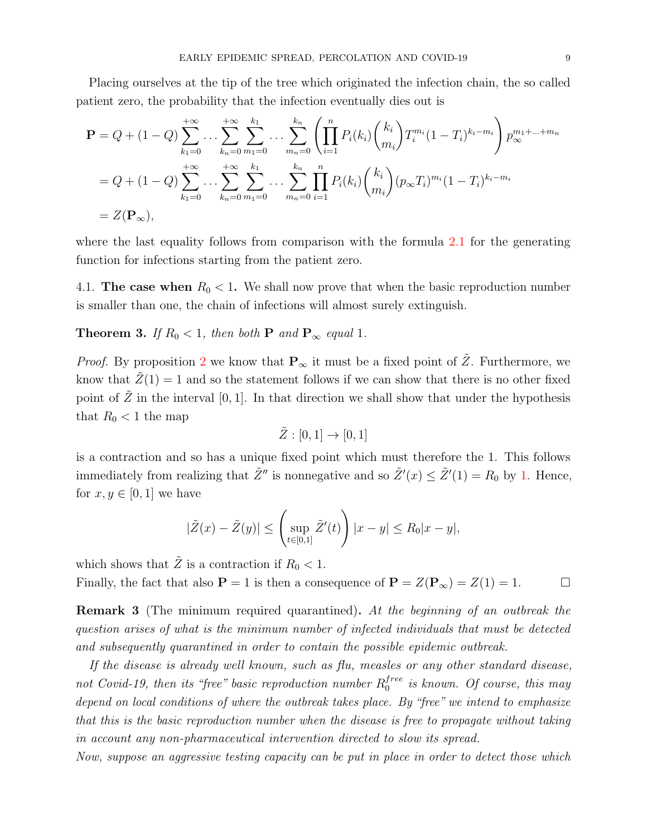Placing ourselves at the tip of the tree which originated the infection chain, the so called patient zero, the probability that the infection eventually dies out is

$$
\mathbf{P} = Q + (1 - Q) \sum_{k_1=0}^{+\infty} \dots \sum_{k_n=0}^{+\infty} \sum_{m_1=0}^{k_1} \dots \sum_{m_n=0}^{k_n} \left( \prod_{i=1}^n P_i(k_i) \binom{k_i}{m_i} T_i^{m_i} (1 - T_i)^{k_i - m_i} \right) p_{\infty}^{m_1 + \dots + m_n}
$$
  
=  $Q + (1 - Q) \sum_{k_1=0}^{+\infty} \dots \sum_{k_n=0}^{+\infty} \sum_{m_1=0}^{k_1} \dots \sum_{m_n=0}^{k_n} \prod_{i=1}^n P_i(k_i) \binom{k_i}{m_i} (p_{\infty} T_i)^{m_i} (1 - T_i)^{k_i - m_i}$   
=  $Z(\mathbf{P}_{\infty}),$ 

where the last equality follows from comparison with the formula [2.1](#page-3-0) for the generating function for infections starting from the patient zero.

4.1. The case when  $R_0 < 1$ . We shall now prove that when the basic reproduction number is smaller than one, the chain of infections will almost surely extinguish.

# <span id="page-8-0"></span>**Theorem 3.** If  $R_0 < 1$ , then both **P** and **P**<sub>∞</sub> equal 1.

*Proof.* By proposition [2](#page-7-1) we know that  $P_{\infty}$  it must be a fixed point of  $\tilde{Z}$ . Furthermore, we know that  $\tilde{Z}(1) = 1$  and so the statement follows if we can show that there is no other fixed point of  $\tilde{Z}$  in the interval [0, 1]. In that direction we shall show that under the hypothesis that  $R_0 < 1$  the map

$$
\tilde{Z}:[0,1]\to[0,1]
$$

is a contraction and so has a unique fixed point which must therefore the 1. This follows immediately from realizing that  $\tilde{Z}''$  is nonnegative and so  $\tilde{Z}'(x) \leq \tilde{Z}'(1) = R_0$  by [1.](#page-6-1) Hence, for  $x, y \in [0, 1]$  we have

$$
|\tilde{Z}(x) - \tilde{Z}(y)| \leq \left(\sup_{t \in [0,1]} \tilde{Z}'(t)\right) |x - y| \leq R_0 |x - y|,
$$

which shows that  $\tilde{Z}$  is a contraction if  $R_0 < 1$ . Finally, the fact that also  $P = 1$  is then a consequence of  $P = Z(P_\infty) = Z(1) = 1$ .

<span id="page-8-1"></span>**Remark 3** (The minimum required quarantined). At the beginning of an outbreak the question arises of what is the minimum number of infected individuals that must be detected and subsequently quarantined in order to contain the possible epidemic outbreak.

If the disease is already well known, such as flu, measles or any other standard disease, not Covid-19, then its "free" basic reproduction number  $R_0^{free}$  $_0^{tree}$  is known. Of course, this may depend on local conditions of where the outbreak takes place. By "free" we intend to emphasize that this is the basic reproduction number when the disease is free to propagate without taking in account any non-pharmaceutical intervention directed to slow its spread.

Now, suppose an aggressive testing capacity can be put in place in order to detect those which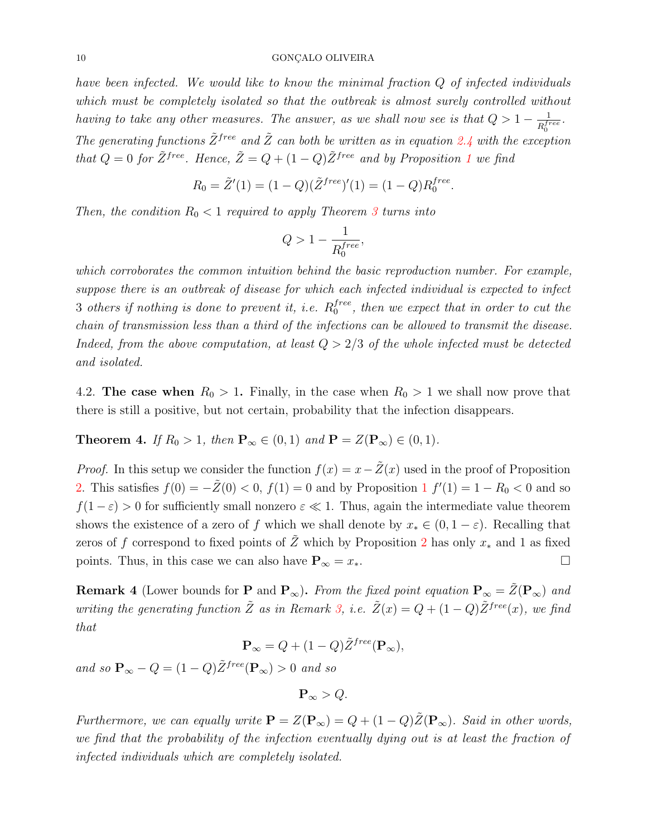#### $\begin{minipage}{.4\linewidth} 10 \end{minipage} \begin{minipage}{.4\linewidth} \begin{minipage}{.4\linewidth} \begin{tabular}{l} \multicolumn{1}{l}{} \multicolumn{1}{l}{} \multicolumn{1}{l}{} \multicolumn{1}{l}{} \multicolumn{1}{l}{} \multicolumn{1}{l}{} \multicolumn{1}{l}{} \multicolumn{1}{l}{} \multicolumn{1}{l}{} \multicolumn{1}{l}{} \multicolumn{1}{l}{} \multicolumn{1}{l}{} \multicolumn{1}{l}{} \multicolumn{1}{l}{} \multicolumn{1}{l}{} \multicolumn{1}{l}{} \multicolumn{1$

have been infected. We would like to know the minimal fraction Q of infected individuals which must be completely isolated so that the outbreak is almost surely controlled without having to take any other measures. The answer, as we shall now see is that  $Q > 1 - \frac{1}{R}$  $\frac{1}{R_0^{free}}$  . The generating functions  $\tilde{Z}^{free}$  and  $\tilde{Z}$  can both be written as in equation [2.4](#page-5-1) with the exception that  $Q = 0$  for  $\tilde{Z}^{free}$ . Hence,  $\tilde{Z} = Q + (1 - Q)\tilde{Z}^{free}$  $\tilde{Z} = Q + (1 - Q)\tilde{Z}^{free}$  $\tilde{Z} = Q + (1 - Q)\tilde{Z}^{free}$  and by Proposition 1 we find

$$
R_0 = \tilde{Z}'(1) = (1 - Q)(\tilde{Z}^{free})'(1) = (1 - Q)R_0^{free}.
$$

Then, the condition  $R_0 < 1$  required to apply Theorem [3](#page-8-0) turns into

$$
Q>1-\frac{1}{R_0^{free}},
$$

which corroborates the common intuition behind the basic reproduction number. For example, suppose there is an outbreak of disease for which each infected individual is expected to infect 3 others if nothing is done to prevent it, i.e.  $R_0^{free}$  $_0^{tree}$ , then we expect that in order to cut the chain of transmission less than a third of the infections can be allowed to transmit the disease. Indeed, from the above computation, at least  $Q > 2/3$  of the whole infected must be detected and isolated.

4.2. The case when  $R_0 > 1$ . Finally, in the case when  $R_0 > 1$  we shall now prove that there is still a positive, but not certain, probability that the infection disappears.

**Theorem 4.** If  $R_0 > 1$ , then  $\mathbf{P}_{\infty} \in (0, 1)$  and  $\mathbf{P} = Z(\mathbf{P}_{\infty}) \in (0, 1)$ .

*Proof.* In this setup we consider the function  $f(x) = x - \tilde{Z}(x)$  used in the proof of Proposition [2.](#page-7-1) This satisfies  $f(0) = -\tilde{Z}(0) < 0$ ,  $f(1) = 0$  $f(1) = 0$  $f(1) = 0$  and by Proposition 1  $f'(1) = 1 - R_0 < 0$  and so  $f(1-\varepsilon) > 0$  for sufficiently small nonzero  $\varepsilon \ll 1$ . Thus, again the intermediate value theorem shows the existence of a zero of f which we shall denote by  $x_* \in (0, 1-\varepsilon)$ . Recalling that zeros of f correspond to fixed points of  $\tilde{Z}$  which by Proposition [2](#page-7-1) has only  $x_*$  and 1 as fixed points. Thus, in this case we can also have  $\mathbf{P}_{\infty} = x_*$ .

<span id="page-9-0"></span>**Remark 4** (Lower bounds for **P** and  $\mathbf{P}_{\infty}$ ). From the fixed point equation  $\mathbf{P}_{\infty} = \tilde{Z}(\mathbf{P}_{\infty})$  and writing the generating function  $\tilde{Z}$  as in Remark [3,](#page-8-1) i.e.  $\tilde{Z}(x) = Q + (1 - Q)\tilde{Z}^{free}(x)$ , we find that

$$
\mathbf{P}_{\infty} = Q + (1 - Q)\tilde{Z}^{free}(\mathbf{P}_{\infty}),
$$

and so  $\mathbf{P}_{\infty} - Q = (1 - Q)\tilde{Z}^{free}(\mathbf{P}_{\infty}) > 0$  and so

$$
\mathbf{P}_{\infty} > Q.
$$

Furthermore, we can equally write  $\mathbf{P} = Z(\mathbf{P}_{\infty}) = Q + (1 - Q)\tilde{Z}(\mathbf{P}_{\infty})$ . Said in other words, we find that the probability of the infection eventually dying out is at least the fraction of infected individuals which are completely isolated.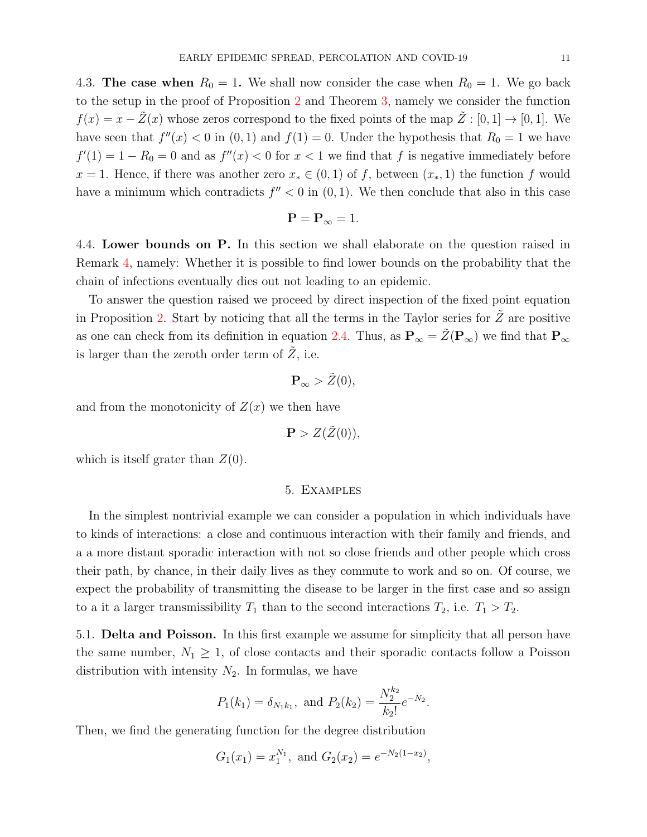4.3. The case when  $R_0 = 1$ . We shall now consider the case when  $R_0 = 1$ . We go back to the setup in the proof of Proposition [2](#page-7-1) and Theorem [3,](#page-8-0) namely we consider the function  $f(x) = x - \tilde{Z}(x)$  whose zeros correspond to the fixed points of the map  $\tilde{Z} : [0,1] \to [0,1]$ . We have seen that  $f''(x) < 0$  in  $(0, 1)$  and  $f(1) = 0$ . Under the hypothesis that  $R_0 = 1$  we have  $f'(1) = 1 - R_0 = 0$  and as  $f''(x) < 0$  for  $x < 1$  we find that f is negative immediately before  $x = 1$ . Hence, if there was another zero  $x_* \in (0,1)$  of f, between  $(x_*, 1)$  the function f would have a minimum which contradicts  $f'' < 0$  in  $(0, 1)$ . We then conclude that also in this case

$$
\mathbf{P} = \mathbf{P}_{\infty} = 1.
$$

<span id="page-10-1"></span>4.4. Lower bounds on P. In this section we shall elaborate on the question raised in Remark [4,](#page-9-0) namely: Whether it is possible to find lower bounds on the probability that the chain of infections eventually dies out not leading to an epidemic.

To answer the question raised we proceed by direct inspection of the fixed point equation in Proposition [2.](#page-7-1) Start by noticing that all the terms in the Taylor series for  $Z$  are positive as one can check from its definition in equation [2.4.](#page-5-1) Thus, as  $P_{\infty} = \tilde{Z}(P_{\infty})$  we find that  $P_{\infty}$ is larger than the zeroth order term of  $Z$ , i.e.

$$
\mathbf{P}_{\infty} > \tilde{Z}(0),
$$

and from the monotonicity of  $Z(x)$  we then have

$$
\mathbf{P} > Z(\tilde{Z}(0)),
$$

<span id="page-10-0"></span>which is itself grater than  $Z(0)$ .

### 5. Examples

In the simplest nontrivial example we can consider a population in which individuals have to kinds of interactions: a close and continuous interaction with their family and friends, and a a more distant sporadic interaction with not so close friends and other people which cross their path, by chance, in their daily lives as they commute to work and so on. Of course, we expect the probability of transmitting the disease to be larger in the first case and so assign to a it a larger transmissibility  $T_1$  than to the second interactions  $T_2$ , i.e.  $T_1 > T_2$ .

5.1. Delta and Poisson. In this first example we assume for simplicity that all person have the same number,  $N_1 \geq 1$ , of close contacts and their sporadic contacts follow a Poisson distribution with intensity  $N_2$ . In formulas, we have

$$
P_1(k_1) = \delta_{N_1k_1}
$$
, and  $P_2(k_2) = \frac{N_2^{k_2}}{k_2!}e^{-N_2}$ .

Then, we find the generating function for the degree distribution

$$
G_1(x_1) = x_1^{N_1}
$$
, and  $G_2(x_2) = e^{-N_2(1-x_2)}$ ,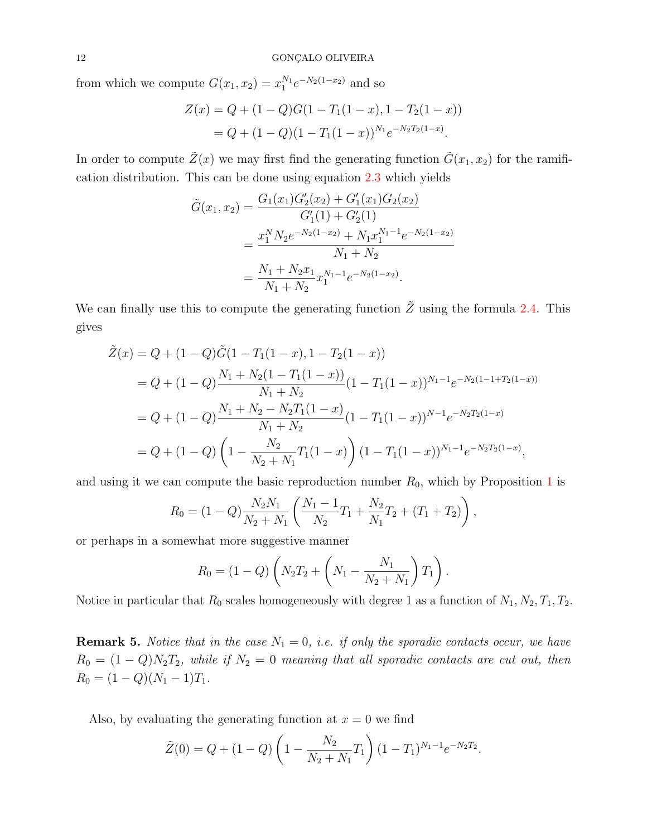from which we compute  $G(x_1, x_2) = x_1^{N_1} e^{-N_2(1-x_2)}$  and so

$$
Z(x) = Q + (1 - Q)G(1 - T_1(1 - x), 1 - T_2(1 - x))
$$
  
= Q + (1 - Q)(1 - T\_1(1 - x))<sup>N<sub>1</sub></sup>e<sup>-N<sub>2</sub>T<sub>2</sub>(1-x).</sup>

In order to compute  $\tilde{Z}(x)$  we may first find the generating function  $\tilde{G}(x_1, x_2)$  for the ramification distribution. This can be done using equation [2.3](#page-4-0) which yields

$$
\tilde{G}(x_1, x_2) = \frac{G_1(x_1)G_2'(x_2) + G_1'(x_1)G_2(x_2)}{G_1'(1) + G_2'(1)}
$$
  
= 
$$
\frac{x_1^N N_2 e^{-N_2(1-x_2)} + N_1 x_1^{N_1-1} e^{-N_2(1-x_2)}}{N_1 + N_2}
$$
  
= 
$$
\frac{N_1 + N_2 x_1}{N_1 + N_2} x_1^{N_1-1} e^{-N_2(1-x_2)}.
$$

We can finally use this to compute the generating function  $\tilde{Z}$  using the formula [2.4.](#page-5-1) This gives

$$
\tilde{Z}(x) = Q + (1 - Q)\tilde{G}(1 - T_1(1 - x), 1 - T_2(1 - x))
$$
\n
$$
= Q + (1 - Q)\frac{N_1 + N_2(1 - T_1(1 - x))}{N_1 + N_2}(1 - T_1(1 - x))^{N_1 - 1}e^{-N_2(1 - 1 + T_2(1 - x))}
$$
\n
$$
= Q + (1 - Q)\frac{N_1 + N_2 - N_2T_1(1 - x)}{N_1 + N_2}(1 - T_1(1 - x))^{N - 1}e^{-N_2T_2(1 - x)}
$$
\n
$$
= Q + (1 - Q)\left(1 - \frac{N_2}{N_2 + N_1}T_1(1 - x)\right)(1 - T_1(1 - x))^{N_1 - 1}e^{-N_2T_2(1 - x)},
$$

and using it we can compute the basic reproduction number  $R_0$ , which by Proposition [1](#page-6-1) is

$$
R_0 = (1 - Q) \frac{N_2 N_1}{N_2 + N_1} \left( \frac{N_1 - 1}{N_2} T_1 + \frac{N_2}{N_1} T_2 + (T_1 + T_2) \right),
$$

or perhaps in a somewhat more suggestive manner

$$
R_0 = (1 - Q) \left( N_2 T_2 + \left( N_1 - \frac{N_1}{N_2 + N_1} \right) T_1 \right).
$$

Notice in particular that  $R_0$  scales homogeneously with degree 1 as a function of  $N_1, N_2, T_1, T_2$ .

**Remark 5.** Notice that in the case  $N_1 = 0$ , i.e. if only the sporadic contacts occur, we have  $R_0 = (1 - Q)N_2T_2$ , while if  $N_2 = 0$  meaning that all sporadic contacts are cut out, then  $R_0 = (1 - Q)(N_1 - 1)T_1.$ 

Also, by evaluating the generating function at  $x = 0$  we find

$$
\tilde{Z}(0) = Q + (1 - Q) \left( 1 - \frac{N_2}{N_2 + N_1} T_1 \right) (1 - T_1)^{N_1 - 1} e^{-N_2 T_2}.
$$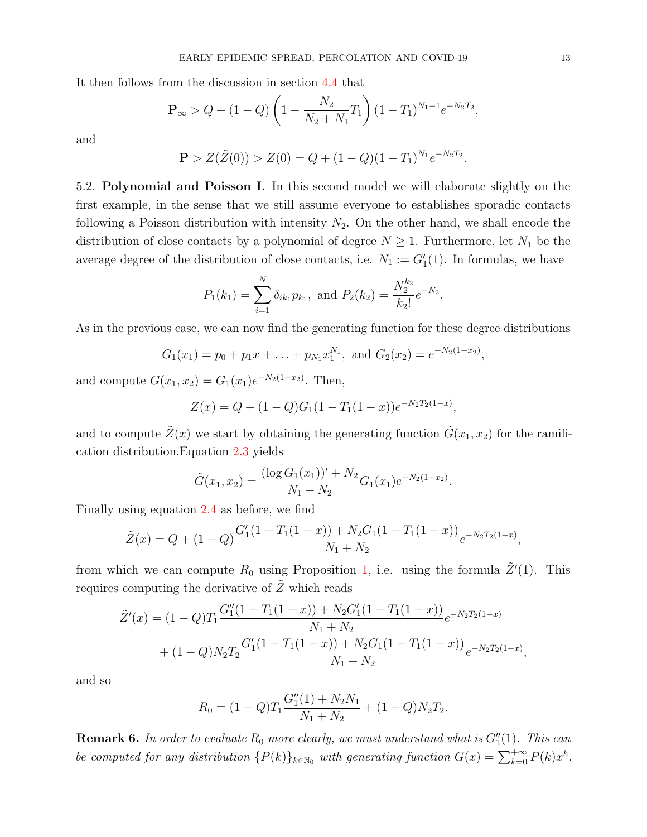It then follows from the discussion in section [4.4](#page-10-1) that

$$
\mathbf{P}_{\infty} > Q + (1 - Q) \left( 1 - \frac{N_2}{N_2 + N_1} T_1 \right) (1 - T_1)^{N_1 - 1} e^{-N_2 T_2},
$$

and

$$
\mathbf{P} > Z(\tilde{Z}(0)) > Z(0) = Q + (1 - Q)(1 - T_1)^{N_1} e^{-N_2 T_2}.
$$

<span id="page-12-1"></span>5.2. Polynomial and Poisson I. In this second model we will elaborate slightly on the first example, in the sense that we still assume everyone to establishes sporadic contacts following a Poisson distribution with intensity  $N_2$ . On the other hand, we shall encode the distribution of close contacts by a polynomial of degree  $N \geq 1$ . Furthermore, let  $N_1$  be the average degree of the distribution of close contacts, i.e.  $N_1 := G_1'(1)$ . In formulas, we have

$$
P_1(k_1) = \sum_{i=1}^{N} \delta_{ik_1} p_{k_1}
$$
, and  $P_2(k_2) = \frac{N_2^{k_2}}{k_2!} e^{-N_2}$ .

As in the previous case, we can now find the generating function for these degree distributions

$$
G_1(x_1) = p_0 + p_1 x + \ldots + p_{N_1} x_1^{N_1}
$$
, and  $G_2(x_2) = e^{-N_2(1-x_2)}$ ,

and compute  $G(x_1, x_2) = G_1(x_1)e^{-N_2(1-x_2)}$ . Then,

$$
Z(x) = Q + (1 - Q)G1(1 - T1(1 - x))e-N2T2(1-x),
$$

and to compute  $\tilde{Z}(x)$  we start by obtaining the generating function  $\tilde{G}(x_1, x_2)$  for the ramification distribution.Equation [2.3](#page-4-0) yields

$$
\tilde{G}(x_1, x_2) = \frac{(\log G_1(x_1))' + N_2}{N_1 + N_2} G_1(x_1) e^{-N_2(1 - x_2)}.
$$

Finally using equation [2.4](#page-5-1) as before, we find

$$
\tilde{Z}(x) = Q + (1 - Q) \frac{G_1'(1 - T_1(1 - x)) + N_2 G_1(1 - T_1(1 - x))}{N_1 + N_2} e^{-N_2 T_2(1 - x)},
$$

from which we can compute  $R_0$  using Proposition [1,](#page-6-1) i.e. using the formula  $\tilde{Z}'(1)$ . This requires computing the derivative of  $\tilde{Z}$  which reads

$$
\tilde{Z}'(x) = (1 - Q)T_1 \frac{G_1''(1 - T_1(1 - x)) + N_2 G_1'(1 - T_1(1 - x))}{N_1 + N_2} e^{-N_2 T_2(1 - x)} \n+ (1 - Q)N_2 T_2 \frac{G_1'(1 - T_1(1 - x)) + N_2 G_1(1 - T_1(1 - x))}{N_1 + N_2} e^{-N_2 T_2(1 - x)},
$$

and so

$$
R_0 = (1 - Q)T_1 \frac{G_1''(1) + N_2 N_1}{N_1 + N_2} + (1 - Q)N_2 T_2.
$$

<span id="page-12-0"></span>**Remark 6.** In order to evaluate  $R_0$  more clearly, we must understand what is  $G''_1(1)$ . This can be computed for any distribution  $\{P(k)\}_{k\in\mathbb{N}_0}$  with generating function  $G(x) = \sum_{k=0}^{+\infty} P(k)x^k$ .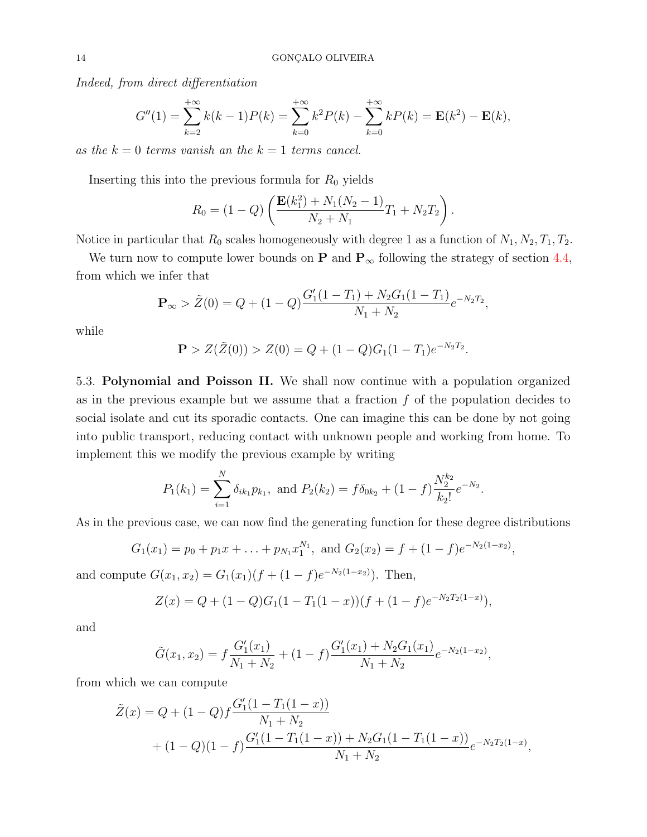Indeed, from direct differentiation

$$
G''(1) = \sum_{k=2}^{+\infty} k(k-1)P(k) = \sum_{k=0}^{+\infty} k^2 P(k) - \sum_{k=0}^{+\infty} k P(k) = \mathbf{E}(k^2) - \mathbf{E}(k),
$$

as the  $k = 0$  terms vanish an the  $k = 1$  terms cancel.

Inserting this into the previous formula for  $R_0$  yields

$$
R_0 = (1 - Q) \left( \frac{\mathbf{E}(k_1^2) + N_1(N_2 - 1)}{N_2 + N_1} T_1 + N_2 T_2 \right).
$$

Notice in particular that  $R_0$  scales homogeneously with degree 1 as a function of  $N_1, N_2, T_1, T_2$ .

We turn now to compute lower bounds on **P** and  $P_{\infty}$  following the strategy of section [4.4,](#page-10-1) from which we infer that

$$
\mathbf{P}_{\infty} > \tilde{Z}(0) = Q + (1 - Q) \frac{G_1'(1 - T_1) + N_2 G_1 (1 - T_1)}{N_1 + N_2} e^{-N_2 T_2},
$$

while

$$
\mathbf{P} > Z(\tilde{Z}(0)) > Z(0) = Q + (1 - Q)G_1(1 - T_1)e^{-N_2T_2}.
$$

<span id="page-13-0"></span>5.3. Polynomial and Poisson II. We shall now continue with a population organized as in the previous example but we assume that a fraction  $f$  of the population decides to social isolate and cut its sporadic contacts. One can imagine this can be done by not going into public transport, reducing contact with unknown people and working from home. To implement this we modify the previous example by writing

$$
P_1(k_1) = \sum_{i=1}^{N} \delta_{ik_1} p_{k_1}
$$
, and  $P_2(k_2) = f \delta_{0k_2} + (1 - f) \frac{N_2^{k_2}}{k_2!} e^{-N_2}$ .

As in the previous case, we can now find the generating function for these degree distributions

$$
G_1(x_1) = p_0 + p_1 x + \ldots + p_{N_1} x_1^{N_1}
$$
, and  $G_2(x_2) = f + (1 - f)e^{-N_2(1 - x_2)}$ ,

and compute  $G(x_1, x_2) = G_1(x_1)(f + (1 - f)e^{-N_2(1 - x_2)})$ . Then,

$$
Z(x) = Q + (1 - Q)G1(1 - T1(1 - x))(f + (1 - f)e-N2T2(1-x)),
$$

and

$$
\tilde{G}(x_1, x_2) = f \frac{G_1'(x_1)}{N_1 + N_2} + (1 - f) \frac{G_1'(x_1) + N_2 G_1(x_1)}{N_1 + N_2} e^{-N_2(1 - x_2)},
$$

from which we can compute

$$
\tilde{Z}(x) = Q + (1 - Q)f \frac{G'_1(1 - T_1(1 - x))}{N_1 + N_2} \n+ (1 - Q)(1 - f) \frac{G'_1(1 - T_1(1 - x)) + N_2G_1(1 - T_1(1 - x))}{N_1 + N_2} e^{-N_2T_2(1 - x)},
$$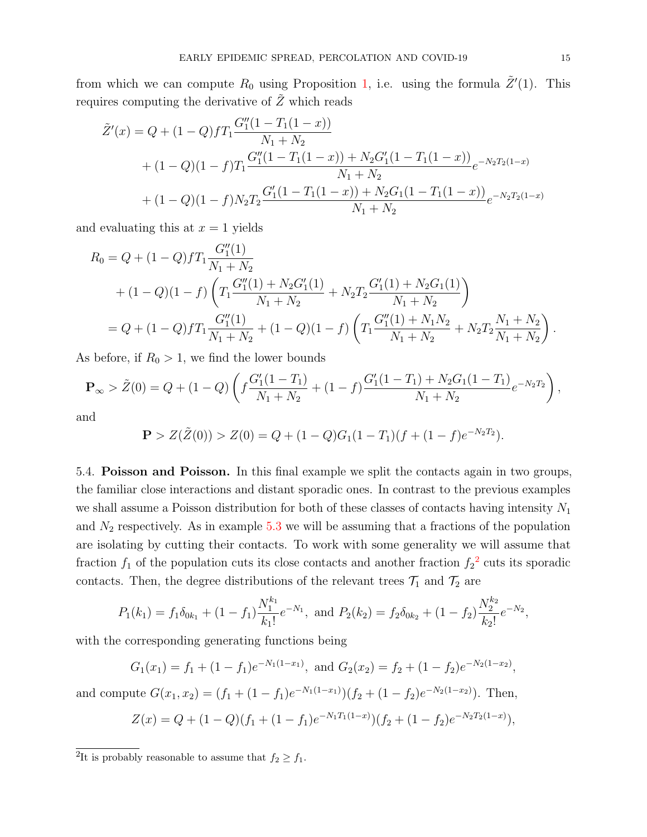from which we can compute  $R_0$  using Proposition [1,](#page-6-1) i.e. using the formula  $\tilde{Z}'(1)$ . This requires computing the derivative of  $Z$  which reads

$$
\tilde{Z}'(x) = Q + (1 - Q)fT_1 \frac{G_1''(1 - T_1(1 - x))}{N_1 + N_2} \n+ (1 - Q)(1 - f)T_1 \frac{G_1''(1 - T_1(1 - x)) + N_2G_1'(1 - T_1(1 - x))}{N_1 + N_2} e^{-N_2T_2(1 - x)} \n+ (1 - Q)(1 - f)N_2T_2 \frac{G_1'(1 - T_1(1 - x)) + N_2G_1(1 - T_1(1 - x))}{N_1 + N_2} e^{-N_2T_2(1 - x)}
$$

and evaluating this at  $x = 1$  yields

$$
R_0 = Q + (1 - Q)fT_1 \frac{G_1''(1)}{N_1 + N_2} + (1 - Q)(1 - f)\left(T_1 \frac{G_1''(1) + N_2G_1'(1)}{N_1 + N_2} + N_2T_2 \frac{G_1'(1) + N_2G_1(1)}{N_1 + N_2}\right) = Q + (1 - Q)fT_1 \frac{G_1''(1)}{N_1 + N_2} + (1 - Q)(1 - f)\left(T_1 \frac{G_1''(1) + N_1N_2}{N_1 + N_2} + N_2T_2 \frac{N_1 + N_2}{N_1 + N_2}\right).
$$

As before, if  $R_0 > 1$ , we find the lower bounds

$$
\mathbf{P}_{\infty} > \tilde{Z}(0) = Q + (1 - Q) \left( f \frac{G_1'(1 - T_1)}{N_1 + N_2} + (1 - f) \frac{G_1'(1 - T_1) + N_2 G_1(1 - T_1)}{N_1 + N_2} e^{-N_2 T_2} \right),
$$

and

$$
\mathbf{P} > Z(\tilde{Z}(0)) > Z(0) = Q + (1 - Q)G_1(1 - T_1)(f + (1 - f)e^{-N_2T_2}).
$$

<span id="page-14-0"></span>5.4. Poisson and Poisson. In this final example we split the contacts again in two groups, the familiar close interactions and distant sporadic ones. In contrast to the previous examples we shall assume a Poisson distribution for both of these classes of contacts having intensity  $N_1$ and  $N_2$  respectively. As in example [5.3](#page-13-0) we will be assuming that a fractions of the population are isolating by cutting their contacts. To work with some generality we will assume that fraction  $f_1$  of the population cuts its close contacts and another fraction  $f_2^2$  $f_2^2$  $f_2^2$  cuts its sporadic contacts. Then, the degree distributions of the relevant trees  $\mathcal{T}_1$  and  $\mathcal{T}_2$  are

$$
P_1(k_1) = f_1 \delta_{0k_1} + (1 - f_1) \frac{N_1^{k_1}}{k_1!} e^{-N_1}, \text{ and } P_2(k_2) = f_2 \delta_{0k_2} + (1 - f_2) \frac{N_2^{k_2}}{k_2!} e^{-N_2},
$$

with the corresponding generating functions being

$$
G_1(x_1) = f_1 + (1 - f_1)e^{-N_1(1 - x_1)}, \text{ and } G_2(x_2) = f_2 + (1 - f_2)e^{-N_2(1 - x_2)},
$$
  
and compute 
$$
G(x_1, x_2) = (f_1 + (1 - f_1)e^{-N_1(1 - x_1)})(f_2 + (1 - f_2)e^{-N_2(1 - x_2)}).
$$
 Then,  

$$
Z(x) = Q + (1 - Q)(f_1 + (1 - f_1)e^{-N_1T_1(1 - x)})(f_2 + (1 - f_2)e^{-N_2T_2(1 - x)}),
$$

<sup>&</sup>lt;sup>2</sup>It is probably reasonable to assume that  $f_2 \ge f_1$ .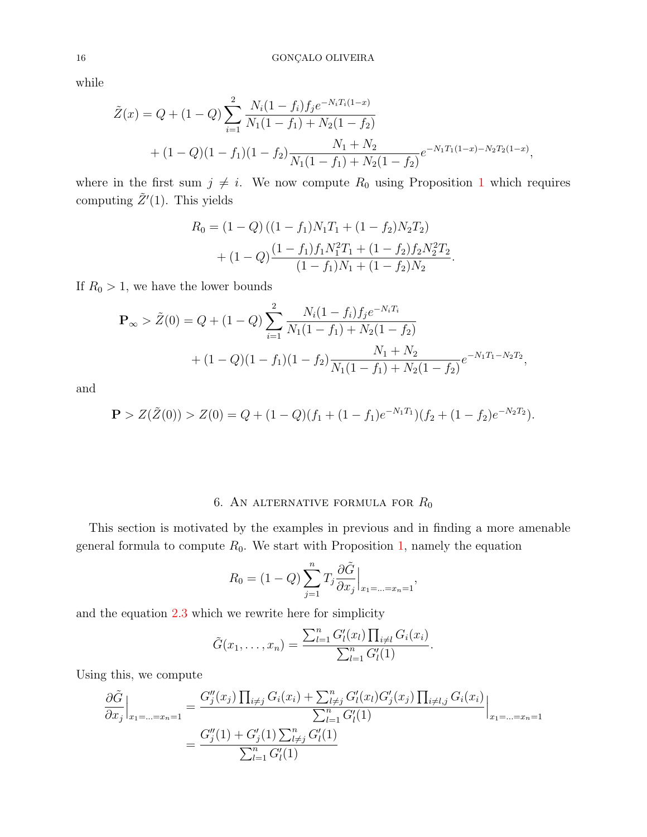while

$$
\tilde{Z}(x) = Q + (1 - Q) \sum_{i=1}^{2} \frac{N_i (1 - f_i) f_j e^{-N_i T_i (1 - x)}}{N_1 (1 - f_1) + N_2 (1 - f_2)} \n+ (1 - Q) (1 - f_1) (1 - f_2) \frac{N_1 + N_2}{N_1 (1 - f_1) + N_2 (1 - f_2)} e^{-N_1 T_1 (1 - x) - N_2 T_2 (1 - x)},
$$

where in the first sum  $j \neq i$ . We now compute  $R_0$  using Proposition [1](#page-6-1) which requires computing  $\tilde{Z}'(1)$ . This yields

$$
R_0 = (1 - Q)((1 - f_1)N_1T_1 + (1 - f_2)N_2T_2)
$$
  
+ 
$$
(1 - Q)\frac{(1 - f_1)f_1N_1^2T_1 + (1 - f_2)f_2N_2^2T_2}{(1 - f_1)N_1 + (1 - f_2)N_2}.
$$

If  $R_0 > 1$ , we have the lower bounds

$$
\mathbf{P}_{\infty} > \tilde{Z}(0) = Q + (1 - Q) \sum_{i=1}^{2} \frac{N_i (1 - f_i) f_j e^{-N_i T_i}}{N_1 (1 - f_1) + N_2 (1 - f_2)} + (1 - Q)(1 - f_1)(1 - f_2) \frac{N_1 + N_2}{N_1 (1 - f_1) + N_2 (1 - f_2)} e^{-N_1 T_1 - N_2 T_2},
$$

and

$$
\mathbf{P} > Z(\tilde{Z}(0)) > Z(0) = Q + (1 - Q)(f_1 + (1 - f_1)e^{-N_1T_1})(f_2 + (1 - f_2)e^{-N_2T_2}).
$$

# 6. AN ALTERNATIVE FORMULA FOR  $R_0$

<span id="page-15-0"></span>This section is motivated by the examples in previous and in finding a more amenable general formula to compute  $R_0$ . We start with Proposition [1,](#page-6-1) namely the equation

$$
R_0 = (1 - Q) \sum_{j=1}^{n} T_j \frac{\partial \tilde{G}}{\partial x_j} \Big|_{x_1 = \dots = x_n = 1},
$$

and the equation [2.3](#page-4-0) which we rewrite here for simplicity

$$
\tilde{G}(x_1,\ldots,x_n) = \frac{\sum_{l=1}^n G'_l(x_l) \prod_{i \neq l} G_i(x_i)}{\sum_{l=1}^n G'_l(1)}.
$$

Using this, we compute

$$
\frac{\partial \tilde{G}}{\partial x_j}\Big|_{x_1=\dots=x_n=1} = \frac{G''_j(x_j) \prod_{i \neq j} G_i(x_i) + \sum_{l \neq j}^n G'_l(x_l) G'_j(x_j) \prod_{i \neq l, j} G_i(x_i)}{\sum_{l=1}^n G'_l(1)}\Big|_{x_1=\dots=x_n=1}
$$

$$
= \frac{G''_j(1) + G'_j(1) \sum_{l \neq j}^n G'_l(1)}{\sum_{l=1}^n G'_l(1)}
$$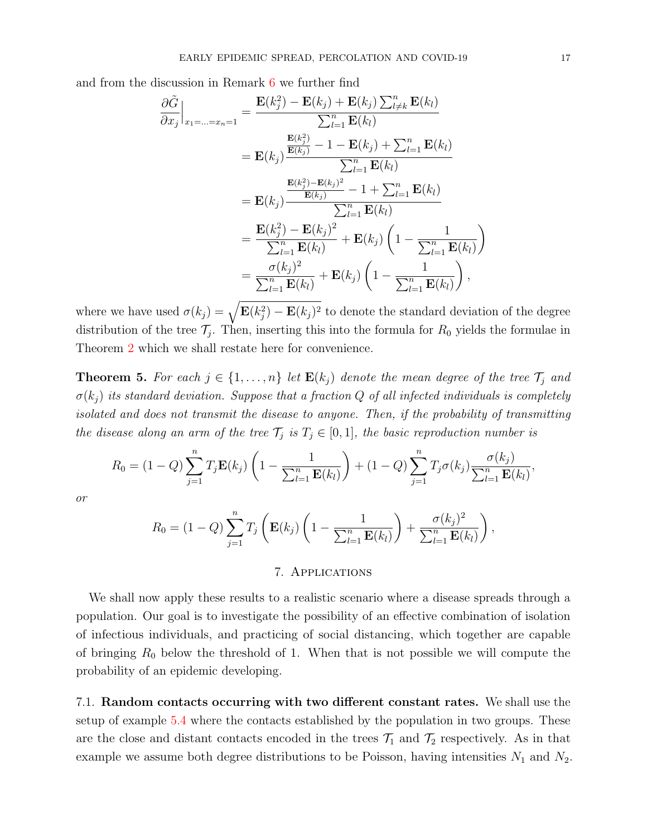and from the discussion in Remark [6](#page-12-0) we further find

$$
\frac{\partial \tilde{G}}{\partial x_j}\Big|_{x_1=\dots=x_n=1} = \frac{\mathbf{E}(k_j^2) - \mathbf{E}(k_j) + \mathbf{E}(k_j) \sum_{l \neq k}^n \mathbf{E}(k_l)}{\sum_{l=1}^n \mathbf{E}(k_l)}
$$
\n
$$
= \mathbf{E}(k_j) \frac{\frac{\mathbf{E}(k_j^2)}{\mathbf{E}(k_j)} - 1 - \mathbf{E}(k_j) + \sum_{l=1}^n \mathbf{E}(k_l)}{\sum_{l=1}^n \mathbf{E}(k_l)}
$$
\n
$$
= \mathbf{E}(k_j) \frac{\frac{\mathbf{E}(k_j^2) - \mathbf{E}(k_j)^2}{\mathbf{E}(k_j)} - 1 + \sum_{l=1}^n \mathbf{E}(k_l)}{\sum_{l=1}^n \mathbf{E}(k_l)}
$$
\n
$$
= \frac{\mathbf{E}(k_j^2) - \mathbf{E}(k_j)^2}{\sum_{l=1}^n \mathbf{E}(k_l)} + \mathbf{E}(k_j) \left(1 - \frac{1}{\sum_{l=1}^n \mathbf{E}(k_l)}\right)
$$
\n
$$
= \frac{\sigma(k_j)^2}{\sum_{l=1}^n \mathbf{E}(k_l)} + \mathbf{E}(k_j) \left(1 - \frac{1}{\sum_{l=1}^n \mathbf{E}(k_l)}\right),
$$

where we have used  $\sigma(k_j) = \sqrt{\mathbf{E}(k_j^2) - \mathbf{E}(k_j)^2}$  to denote the standard deviation of the degree distribution of the tree  $\mathcal{T}_j$ . Then, inserting this into the formula for  $R_0$  yields the formulae in Theorem [2](#page-1-0) which we shall restate here for convenience.

**Theorem 5.** For each  $j \in \{1, ..., n\}$  let  $\mathbf{E}(k_j)$  denote the mean degree of the tree  $\mathcal{T}_j$  and  $\sigma(k_i)$  its standard deviation. Suppose that a fraction Q of all infected individuals is completely isolated and does not transmit the disease to anyone. Then, if the probability of transmitting the disease along an arm of the tree  $\mathcal{T}_j$  is  $T_j \in [0,1]$ , the basic reproduction number is

$$
R_0 = (1 - Q) \sum_{j=1}^n T_j \mathbf{E}(k_j) \left( 1 - \frac{1}{\sum_{l=1}^n \mathbf{E}(k_l)} \right) + (1 - Q) \sum_{j=1}^n T_j \sigma(k_j) \frac{\sigma(k_j)}{\sum_{l=1}^n \mathbf{E}(k_l)},
$$

or

$$
R_0 = (1 - Q) \sum_{j=1}^n T_j \left( \mathbf{E}(k_j) \left( 1 - \frac{1}{\sum_{l=1}^n \mathbf{E}(k_l)} \right) + \frac{\sigma(k_j)^2}{\sum_{l=1}^n \mathbf{E}(k_l)} \right),
$$

### 7. Applications

<span id="page-16-0"></span>We shall now apply these results to a realistic scenario where a disease spreads through a population. Our goal is to investigate the possibility of an effective combination of isolation of infectious individuals, and practicing of social distancing, which together are capable of bringing  $R_0$  below the threshold of 1. When that is not possible we will compute the probability of an epidemic developing.

7.1. Random contacts occurring with two different constant rates. We shall use the setup of example [5.4](#page-14-0) where the contacts established by the population in two groups. These are the close and distant contacts encoded in the trees  $\mathcal{T}_1$  and  $\mathcal{T}_2$  respectively. As in that example we assume both degree distributions to be Poisson, having intensities  $N_1$  and  $N_2$ .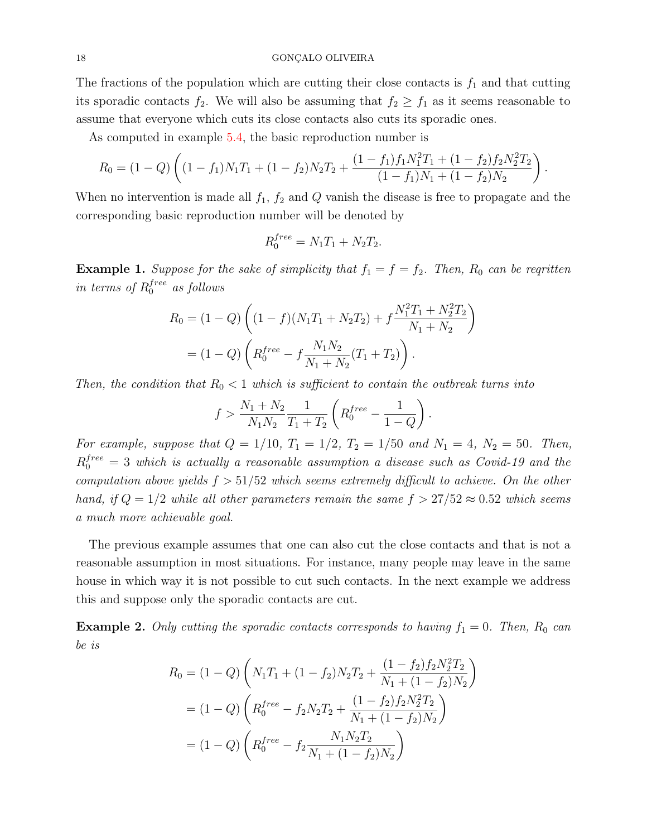The fractions of the population which are cutting their close contacts is  $f_1$  and that cutting its sporadic contacts  $f_2$ . We will also be assuming that  $f_2 \ge f_1$  as it seems reasonable to assume that everyone which cuts its close contacts also cuts its sporadic ones.

As computed in example [5.4,](#page-14-0) the basic reproduction number is

$$
R_0 = (1 - Q) \left( (1 - f_1) N_1 T_1 + (1 - f_2) N_2 T_2 + \frac{(1 - f_1) f_1 N_1^2 T_1 + (1 - f_2) f_2 N_2^2 T_2}{(1 - f_1) N_1 + (1 - f_2) N_2} \right)
$$

.

When no intervention is made all  $f_1$ ,  $f_2$  and Q vanish the disease is free to propagate and the corresponding basic reproduction number will be denoted by

$$
R_0^{free} = N_1 T_1 + N_2 T_2.
$$

**Example 1.** Suppose for the sake of simplicity that  $f_1 = f = f_2$ . Then,  $R_0$  can be reqritten in terms of  $R_0^{free}$  as follows

$$
R_0 = (1 - Q) \left( (1 - f)(N_1 T_1 + N_2 T_2) + f \frac{N_1^2 T_1 + N_2^2 T_2}{N_1 + N_2} \right)
$$
  
=  $(1 - Q) \left( R_0^{free} - f \frac{N_1 N_2}{N_1 + N_2} (T_1 + T_2) \right).$ 

Then, the condition that  $R_0 < 1$  which is sufficient to contain the outbreak turns into

$$
f > \frac{N_1 + N_2}{N_1 N_2} \frac{1}{T_1 + T_2} \left( R_0^{free} - \frac{1}{1 - Q} \right).
$$

For example, suppose that  $Q = 1/10$ ,  $T_1 = 1/2$ ,  $T_2 = 1/50$  and  $N_1 = 4$ ,  $N_2 = 50$ . Then,  $R_0^{free} = 3$  which is actually a reasonable assumption a disease such as Covid-19 and the computation above yields  $f > 51/52$  which seems extremely difficult to achieve. On the other hand, if  $Q = 1/2$  while all other parameters remain the same  $f > 27/52 \approx 0.52$  which seems a much more achievable goal.

The previous example assumes that one can also cut the close contacts and that is not a reasonable assumption in most situations. For instance, many people may leave in the same house in which way it is not possible to cut such contacts. In the next example we address this and suppose only the sporadic contacts are cut.

**Example 2.** Only cutting the sporadic contacts corresponds to having  $f_1 = 0$ . Then,  $R_0$  can be is

$$
R_0 = (1 - Q) \left( N_1 T_1 + (1 - f_2) N_2 T_2 + \frac{(1 - f_2) f_2 N_2^2 T_2}{N_1 + (1 - f_2) N_2} \right)
$$
  
=  $(1 - Q) \left( R_0^{free} - f_2 N_2 T_2 + \frac{(1 - f_2) f_2 N_2^2 T_2}{N_1 + (1 - f_2) N_2} \right)$   
=  $(1 - Q) \left( R_0^{free} - f_2 \frac{N_1 N_2 T_2}{N_1 + (1 - f_2) N_2} \right)$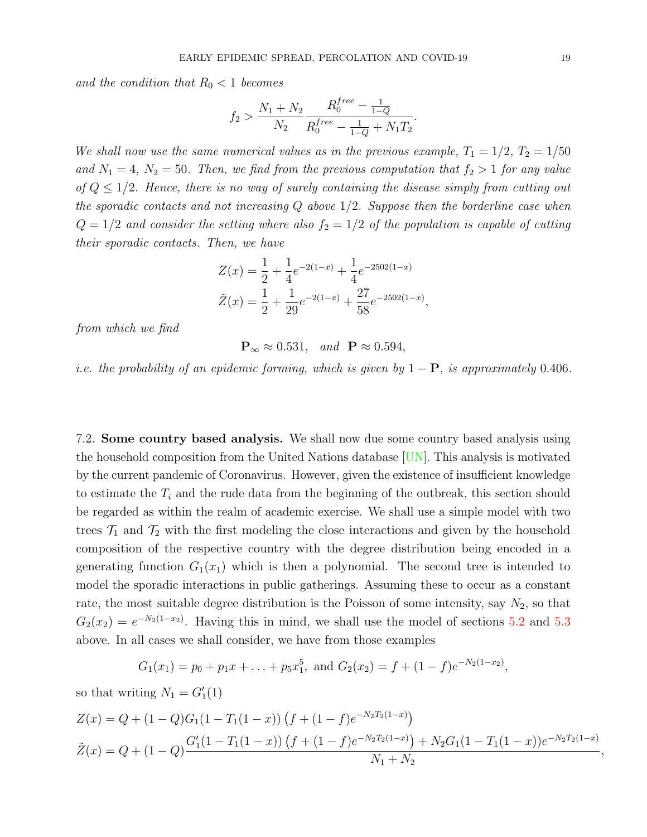<span id="page-18-0"></span>and the condition that  $R_0 < 1$  becomes

$$
f_2 > \frac{N_1 + N_2}{N_2} \frac{R_0^{free} - \frac{1}{1 - Q}}{R_0^{free} - \frac{1}{1 - Q} + N_1 T_2}.
$$

We shall now use the same numerical values as in the previous example,  $T_1 = 1/2$ ,  $T_2 = 1/50$ and  $N_1 = 4$ ,  $N_2 = 50$ . Then, we find from the previous computation that  $f_2 > 1$  for any value of  $Q \leq 1/2$ . Hence, there is no way of surely containing the disease simply from cutting out the sporadic contacts and not increasing  $Q$  above  $1/2$ . Suppose then the borderline case when  $Q = 1/2$  and consider the setting where also  $f_2 = 1/2$  of the population is capable of cutting their sporadic contacts. Then, we have

$$
Z(x) = \frac{1}{2} + \frac{1}{4}e^{-2(1-x)} + \frac{1}{4}e^{-2502(1-x)}
$$
  

$$
\tilde{Z}(x) = \frac{1}{2} + \frac{1}{29}e^{-2(1-x)} + \frac{27}{58}e^{-2502(1-x)},
$$

from which we find

 $\mathbf{P}_{\infty} \approx 0.531$ , and  $\mathbf{P} \approx 0.594$ ,

i.e. the probability of an epidemic forming, which is given by  $1 - P$ , is approximately 0.406.

7.2. Some country based analysis. We shall now due some country based analysis using the household composition from the United Nations database [\[UN\]](#page-22-7). This analysis is motivated by the current pandemic of Coronavirus. However, given the existence of insufficient knowledge to estimate the  $T_i$  and the rude data from the beginning of the outbreak, this section should be regarded as within the realm of academic exercise. We shall use a simple model with two trees  $\mathcal{T}_1$  and  $\mathcal{T}_2$  with the first modeling the close interactions and given by the household composition of the respective country with the degree distribution being encoded in a generating function  $G_1(x_1)$  which is then a polynomial. The second tree is intended to model the sporadic interactions in public gatherings. Assuming these to occur as a constant rate, the most suitable degree distribution is the Poisson of some intensity, say  $N_2$ , so that  $G_2(x_2) = e^{-N_2(1-x_2)}$ . Having this in mind, we shall use the model of sections [5.2](#page-12-1) and [5.3](#page-13-0) above. In all cases we shall consider, we have from those examples

$$
G_1(x_1) = p_0 + p_1 x + \ldots + p_5 x_1^5
$$
, and  $G_2(x_2) = f + (1 - f)e^{-N_2(1 - x_2)}$ ,

so that writing  $N_1 = G_1'(1)$ 

$$
Z(x) = Q + (1 - Q)G_1(1 - T_1(1 - x)) \left( f + (1 - f)e^{-N_2T_2(1 - x)} \right)
$$
  

$$
\tilde{Z}(x) = Q + (1 - Q)\frac{G_1'(1 - T_1(1 - x)) \left( f + (1 - f)e^{-N_2T_2(1 - x)} \right) + N_2G_1(1 - T_1(1 - x))e^{-N_2T_2(1 - x)}}
$$
  

$$
N_1 + N_2
$$

,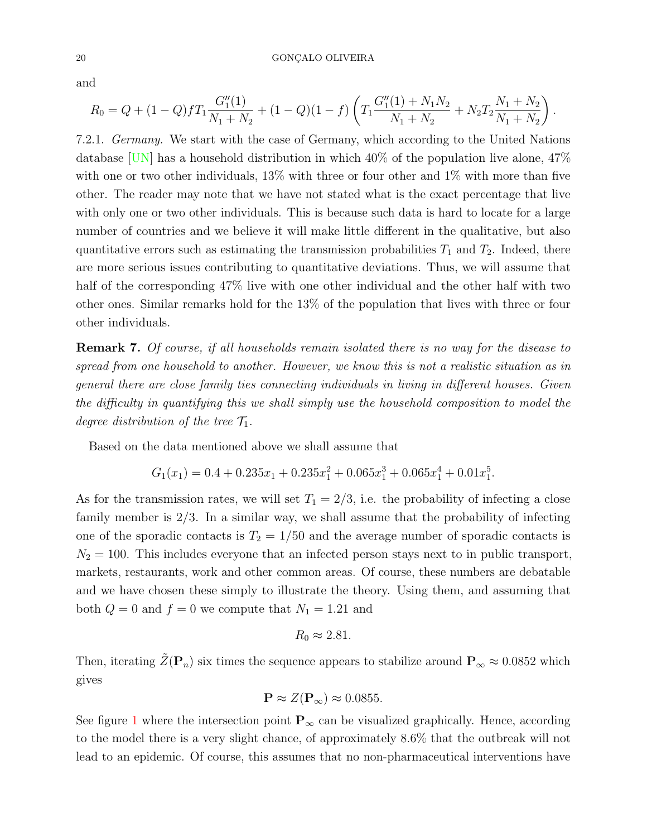### <span id="page-19-0"></span>20 GONÇALO OLIVEIRA

and

$$
R_0 = Q + (1 - Q)fT_1 \frac{G_1''(1)}{N_1 + N_2} + (1 - Q)(1 - f) \left( T_1 \frac{G_1''(1) + N_1 N_2}{N_1 + N_2} + N_2 T_2 \frac{N_1 + N_2}{N_1 + N_2} \right).
$$

7.2.1. Germany. We start with the case of Germany, which according to the United Nations database  $\overline{UN}$  has a household distribution in which 40% of the population live alone, 47% with one or two other individuals, 13% with three or four other and 1% with more than five other. The reader may note that we have not stated what is the exact percentage that live with only one or two other individuals. This is because such data is hard to locate for a large number of countries and we believe it will make little different in the qualitative, but also quantitative errors such as estimating the transmission probabilities  $T_1$  and  $T_2$ . Indeed, there are more serious issues contributing to quantitative deviations. Thus, we will assume that half of the corresponding 47% live with one other individual and the other half with two other ones. Similar remarks hold for the 13% of the population that lives with three or four other individuals.

Remark 7. Of course, if all households remain isolated there is no way for the disease to spread from one household to another. However, we know this is not a realistic situation as in general there are close family ties connecting individuals in living in different houses. Given the difficulty in quantifying this we shall simply use the household composition to model the degree distribution of the tree  $\mathcal{T}_1$ .

Based on the data mentioned above we shall assume that

$$
G_1(x_1) = 0.4 + 0.235x_1 + 0.235x_1^2 + 0.065x_1^3 + 0.065x_1^4 + 0.01x_1^5.
$$

As for the transmission rates, we will set  $T_1 = 2/3$ , i.e. the probability of infecting a close family member is 2/3. In a similar way, we shall assume that the probability of infecting one of the sporadic contacts is  $T_2 = 1/50$  and the average number of sporadic contacts is  $N_2 = 100$ . This includes everyone that an infected person stays next to in public transport, markets, restaurants, work and other common areas. Of course, these numbers are debatable and we have chosen these simply to illustrate the theory. Using them, and assuming that both  $Q = 0$  and  $f = 0$  we compute that  $N_1 = 1.21$  and

$$
R_0 \approx 2.81.
$$

Then, iterating  $\tilde{Z}(\mathbf{P}_n)$  six times the sequence appears to stabilize around  $\mathbf{P}_{\infty} \approx 0.0852$  which gives

$$
\mathbf{P} \approx Z(\mathbf{P}_{\infty}) \approx 0.0855.
$$

See figure [1](#page-20-0) where the intersection point  $\mathbf{P}_{\infty}$  can be visualized graphically. Hence, according to the model there is a very slight chance, of approximately 8.6% that the outbreak will not lead to an epidemic. Of course, this assumes that no non-pharmaceutical interventions have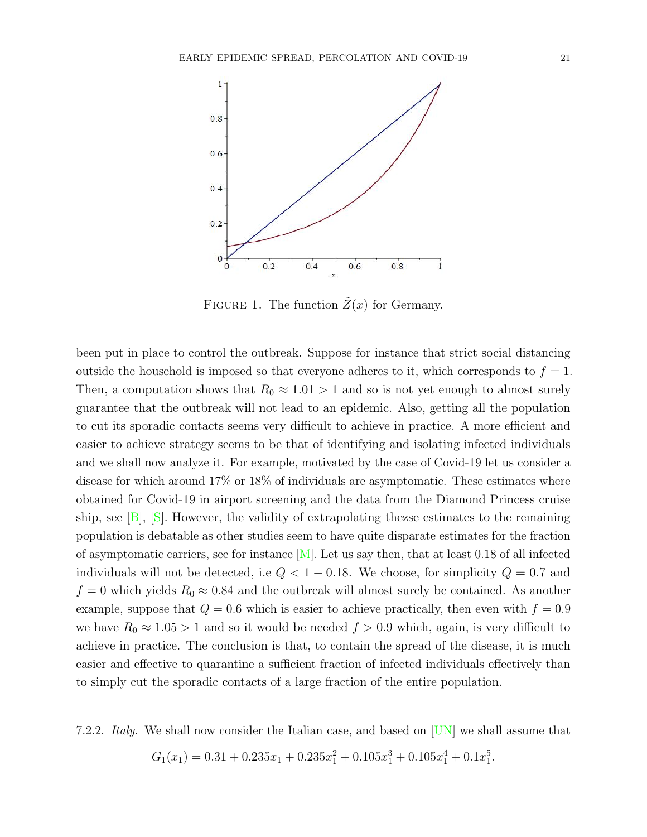<span id="page-20-1"></span>

<span id="page-20-0"></span>FIGURE 1. The function  $\tilde{Z}(x)$  for Germany.

been put in place to control the outbreak. Suppose for instance that strict social distancing outside the household is imposed so that everyone adheres to it, which corresponds to  $f = 1$ . Then, a computation shows that  $R_0 \approx 1.01 > 1$  and so is not yet enough to almost surely guarantee that the outbreak will not lead to an epidemic. Also, getting all the population to cut its sporadic contacts seems very difficult to achieve in practice. A more efficient and easier to achieve strategy seems to be that of identifying and isolating infected individuals and we shall now analyze it. For example, motivated by the case of Covid-19 let us consider a disease for which around 17% or 18% of individuals are asymptomatic. These estimates where obtained for Covid-19 in airport screening and the data from the Diamond Princess cruise ship, see  $[B]$ ,  $[S]$ . However, the validity of extrapolating theze estimates to the remaining population is debatable as other studies seem to have quite disparate estimates for the fraction of asymptomatic carriers, see for instance  $[M]$ . Let us say then, that at least 0.18 of all infected individuals will not be detected, i.e  $Q < 1 - 0.18$ . We choose, for simplicity  $Q = 0.7$  and  $f = 0$  which yields  $R_0 \approx 0.84$  and the outbreak will almost surely be contained. As another example, suppose that  $Q = 0.6$  which is easier to achieve practically, then even with  $f = 0.9$ we have  $R_0 \approx 1.05 > 1$  and so it would be needed  $f > 0.9$  which, again, is very difficult to achieve in practice. The conclusion is that, to contain the spread of the disease, it is much easier and effective to quarantine a sufficient fraction of infected individuals effectively than to simply cut the sporadic contacts of a large fraction of the entire population.

7.2.2. Italy. We shall now consider the Italian case, and based on [\[UN\]](#page-22-7) we shall assume that

$$
G_1(x_1) = 0.31 + 0.235x_1 + 0.235x_1^2 + 0.105x_1^3 + 0.105x_1^4 + 0.1x_1^5
$$

.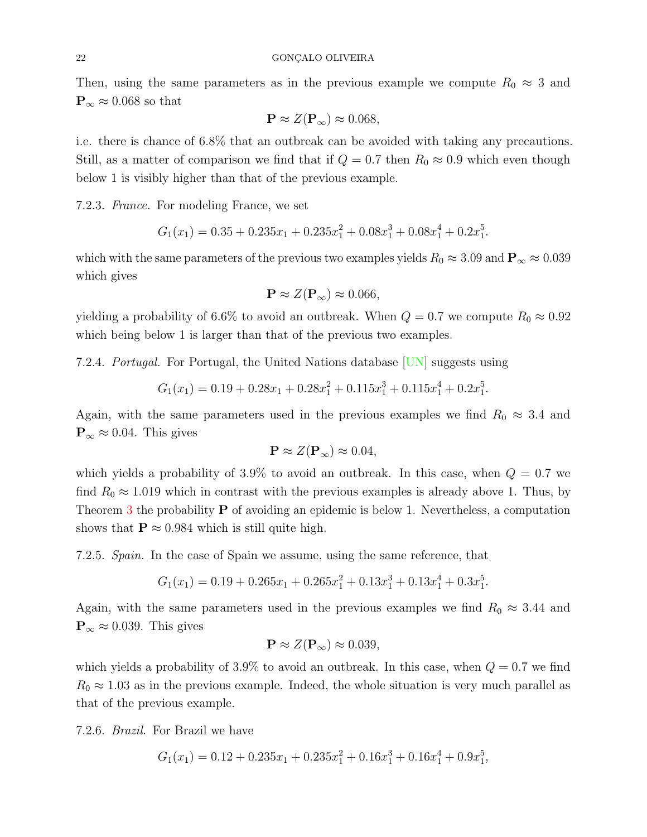<span id="page-21-0"></span>Then, using the same parameters as in the previous example we compute  $R_0 \approx 3$  and  $\mathbf{P}_{\infty} \approx 0.068$  so that

$$
\mathbf{P} \approx Z(\mathbf{P}_{\infty}) \approx 0.068,
$$

i.e. there is chance of 6.8% that an outbreak can be avoided with taking any precautions. Still, as a matter of comparison we find that if  $Q = 0.7$  then  $R_0 \approx 0.9$  which even though below 1 is visibly higher than that of the previous example.

7.2.3. France. For modeling France, we set

$$
G_1(x_1) = 0.35 + 0.235x_1 + 0.235x_1^2 + 0.08x_1^3 + 0.08x_1^4 + 0.2x_1^5.
$$

which with the same parameters of the previous two examples yields  $R_0 \approx 3.09$  and  $\mathbf{P}_{\infty} \approx 0.039$ which gives

$$
\mathbf{P} \approx Z(\mathbf{P}_{\infty}) \approx 0.066,
$$

yielding a probability of 6.6% to avoid an outbreak. When  $Q = 0.7$  we compute  $R_0 \approx 0.92$ which being below 1 is larger than that of the previous two examples.

7.2.4. Portugal. For Portugal, the United Nations database [\[UN\]](#page-22-7) suggests using

$$
G_1(x_1) = 0.19 + 0.28x_1 + 0.28x_1^2 + 0.115x_1^3 + 0.115x_1^4 + 0.2x_1^5.
$$

Again, with the same parameters used in the previous examples we find  $R_0 \approx 3.4$  and  $\mathbf{P}_{\infty} \approx 0.04$ . This gives

$$
\mathbf{P} \approx Z(\mathbf{P}_{\infty}) \approx 0.04,
$$

which yields a probability of 3.9% to avoid an outbreak. In this case, when  $Q = 0.7$  we find  $R_0 \approx 1.019$  which in contrast with the previous examples is already above 1. Thus, by Theorem [3](#page-8-0) the probability  $P$  of avoiding an epidemic is below 1. Nevertheless, a computation shows that  $P \approx 0.984$  which is still quite high.

7.2.5. Spain. In the case of Spain we assume, using the same reference, that

$$
G_1(x_1) = 0.19 + 0.265x_1 + 0.265x_1^2 + 0.13x_1^3 + 0.13x_1^4 + 0.3x_1^5.
$$

Again, with the same parameters used in the previous examples we find  $R_0 \approx 3.44$  and  $\mathbf{P}_{\infty} \approx 0.039$ . This gives

$$
\mathbf{P} \approx Z(\mathbf{P}_{\infty}) \approx 0.039,
$$

which yields a probability of 3.9% to avoid an outbreak. In this case, when  $Q = 0.7$  we find  $R_0 \approx 1.03$  as in the previous example. Indeed, the whole situation is very much parallel as that of the previous example.

7.2.6. Brazil. For Brazil we have

$$
G_1(x_1) = 0.12 + 0.235x_1 + 0.235x_1^2 + 0.16x_1^3 + 0.16x_1^4 + 0.9x_1^5,
$$